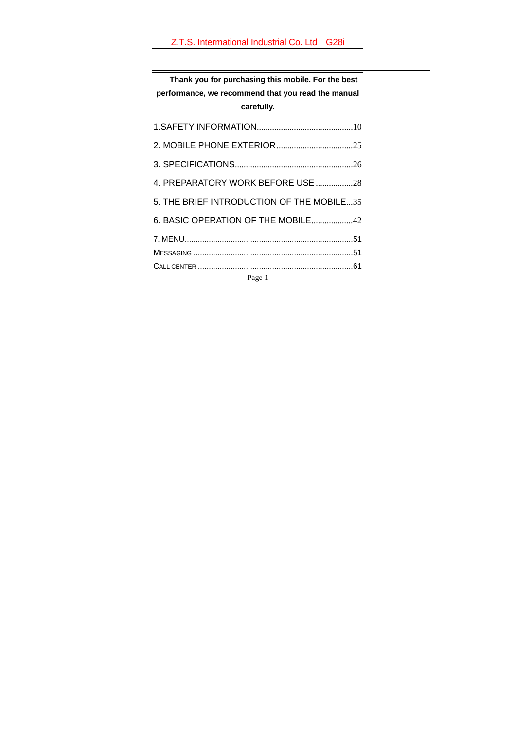**Thank you for purchasing this mobile. For the best performance, we recommend that you read the manual carefully.** 

| 4. PREPARATORY WORK BEFORE USE 28         |  |
|-------------------------------------------|--|
| 5. THE BRIEF INTRODUCTION OF THE MOBILE35 |  |
| 6. BASIC OPERATION OF THE MOBILE42        |  |
|                                           |  |
|                                           |  |
|                                           |  |
|                                           |  |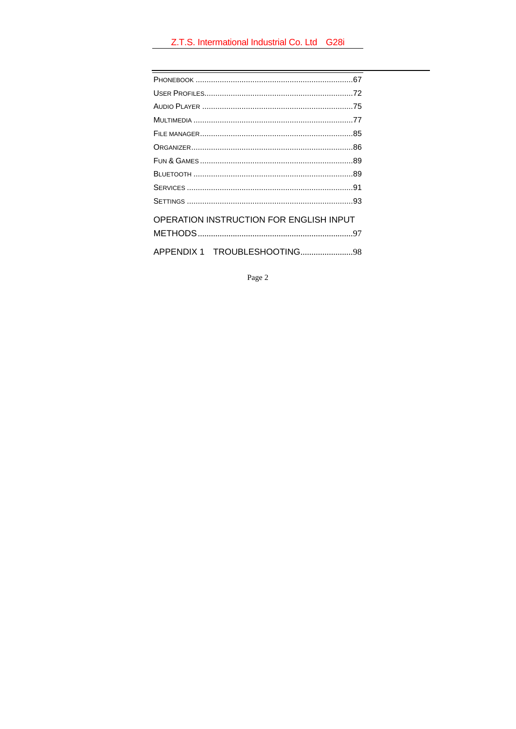| OPERATION INSTRUCTION FOR ENGLISH INPUT |
|-----------------------------------------|
|                                         |
|                                         |

Page  $2\,$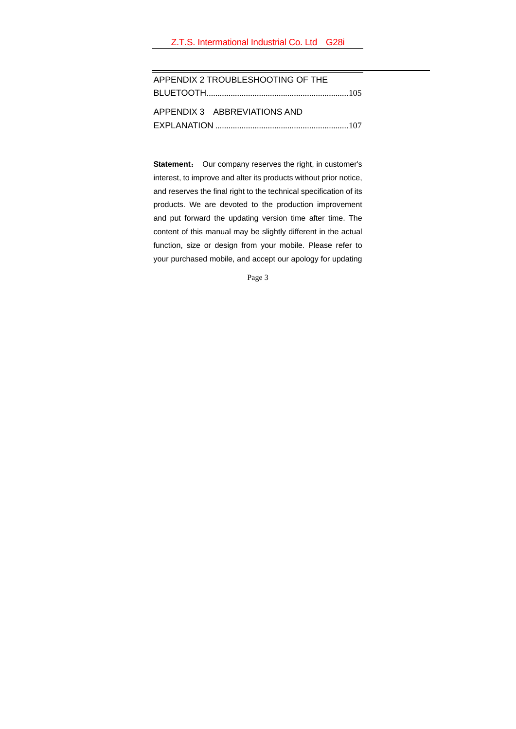| APPENDIX 2 TROUBLESHOOTING OF THE |  |  |  |
|-----------------------------------|--|--|--|
|                                   |  |  |  |
|                                   |  |  |  |
| APPENDIX 3 ABBREVIATIONS AND      |  |  |  |
|                                   |  |  |  |

**Statement**: Our company reserves the right, in customer's interest, to improve and alter its products without prior notice, and reserves the final right to the technical specification of its products. We are devoted to the production improvement and put forward the updating version time after time. The content of this manual may be slightly different in the actual function, size or design from your mobile. Please refer to your purchased mobile, and accept our apology for updating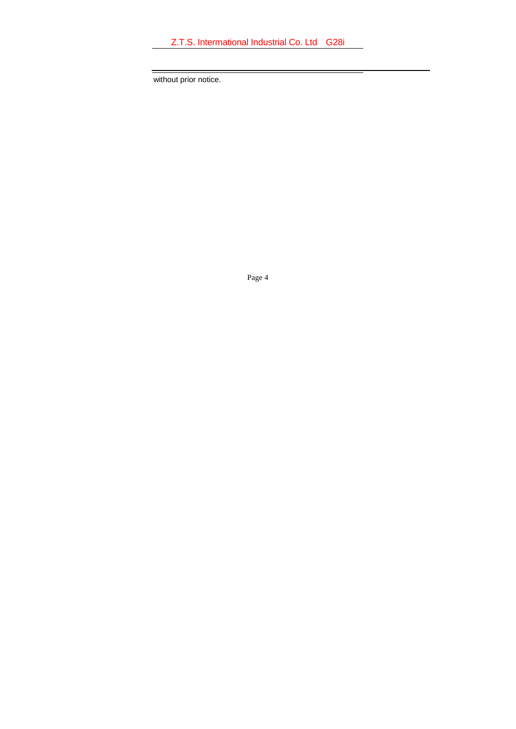without prior notice.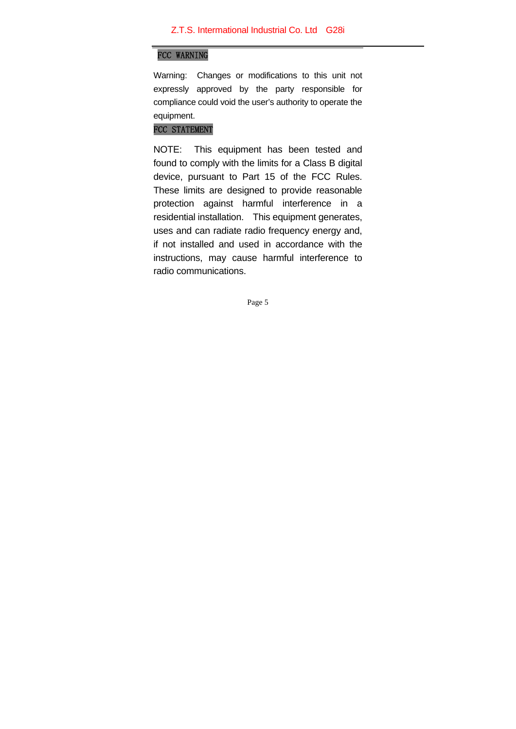# FCC WARNING

Warning: Changes or modifications to this unit not expressly approved by the party responsible for compliance could void the user's authority to operate the equipment.

# FCC STATEMENT

NOTE: This equipment has been tested and found to comply with the limits for a Class B digital device, pursuant to Part 15 of the FCC Rules. These limits are designed to provide reasonable protection against harmful interference in a residential installation. This equipment generates, uses and can radiate radio frequency energy and, if not installed and used in accordance with the instructions, may cause harmful interference to radio communications.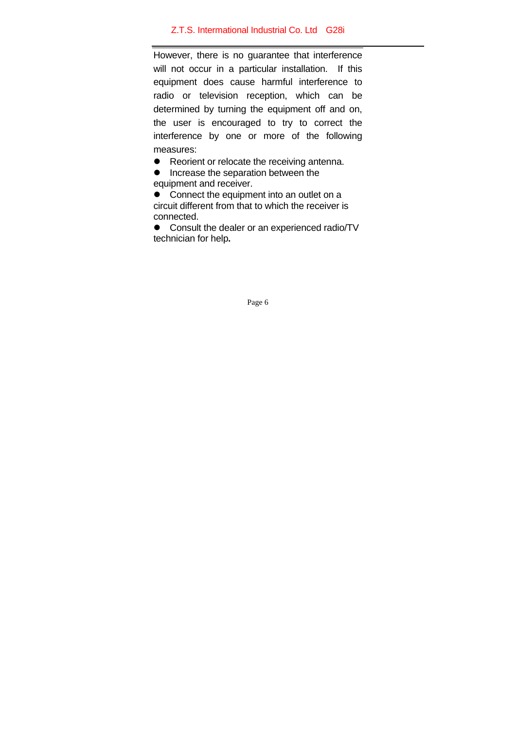However, there is no guarantee that interference will not occur in a particular installation. If this equipment does cause harmful interference to radio or television reception, which can be determined by turning the equipment off and on, the user is encouraged to try to correct the interference by one or more of the following measures:

 $\bullet$  Reorient or relocate the receiving antenna.

 $\bullet$  Increase the separation between the equipment and receiver.

 $\bullet$  Connect the equipment into an outlet on a circuit different from that to which the receiver is connected.

• Consult the dealer or an experienced radio/TV technician for help**.**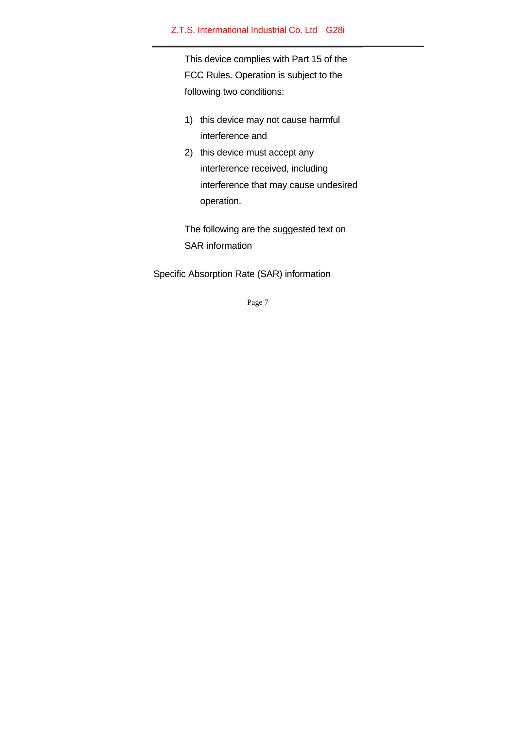This device complies with Part 15 of the FCC Rules. Operation is subject to the following two conditions:

- 1) this device may not cause harmful interference and
- 2) this device must accept any interference received, including interference that may cause undesired operation.

The following are the suggested text on SAR information

Specific Absorption Rate (SAR) information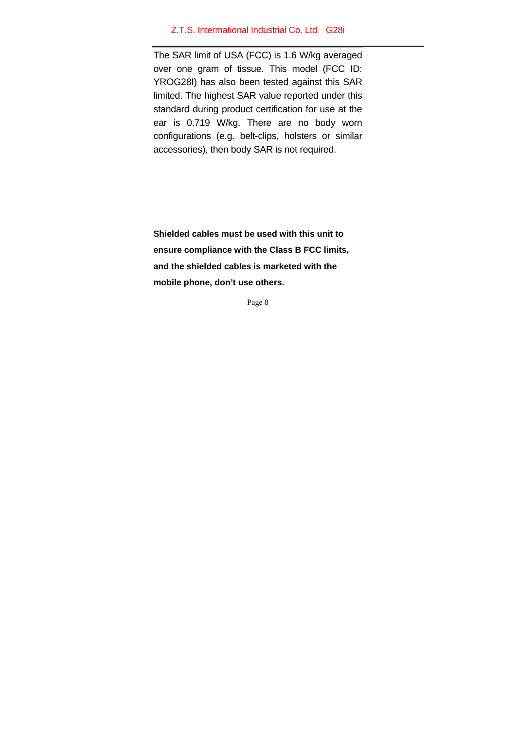The SAR limit of USA (FCC) is 1.6 W/kg averaged over one gram of tissue. This model (FCC ID: YROG28I) has also been tested against this SAR limited. The highest SAR value reported under this standard during product certification for use at the ear is 0.719 W/kg. There are no body worn configurations (e.g. belt-clips, holsters or similar accessories), then body SAR is not required.

**Shielded cables must be used with this unit to ensure compliance with the Class B FCC limits, and the shielded cables is marketed with the mobile phone, don't use others.**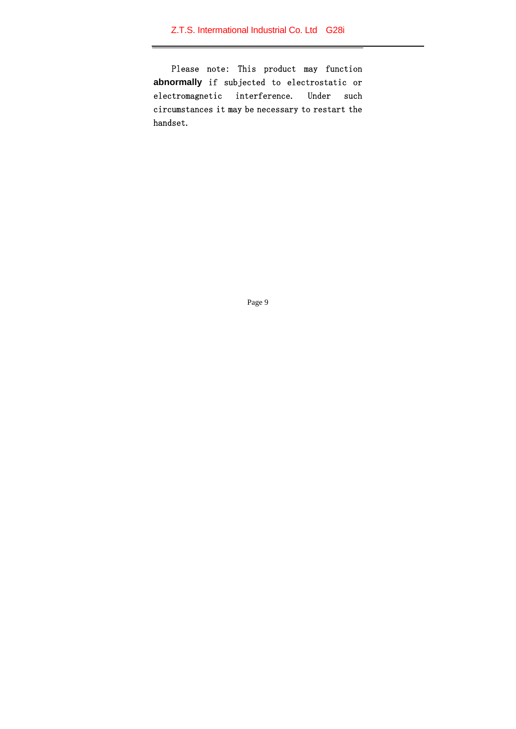Please note: This product may function **abnormally** if subjected to electrostatic or electromagnetic interference. Under such circumstances it may be necessary to restart the handset.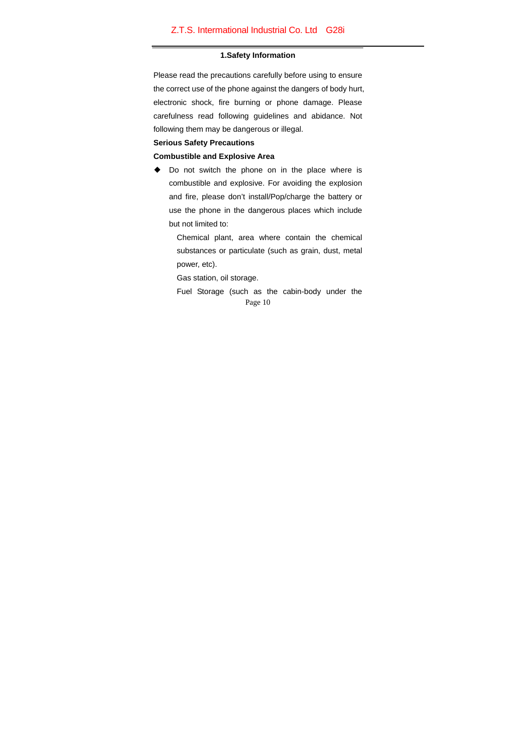#### **1.Safety Information**

Please read the precautions carefully before using to ensure the correct use of the phone against the dangers of body hurt, electronic shock, fire burning or phone damage. Please carefulness read following guidelines and abidance. Not following them may be dangerous or illegal.

## **Serious Safety Precautions**

## **Combustible and Explosive Area**

◆ Do not switch the phone on in the place where is combustible and explosive. For avoiding the explosion and fire, please don't install/Pop/charge the battery or use the phone in the dangerous places which include but not limited to:

> Chemical plant, area where contain the chemical substances or particulate (such as grain, dust, metal power, etc).

Gas station, oil storage.

Page 10 Fuel Storage (such as the cabin-body under the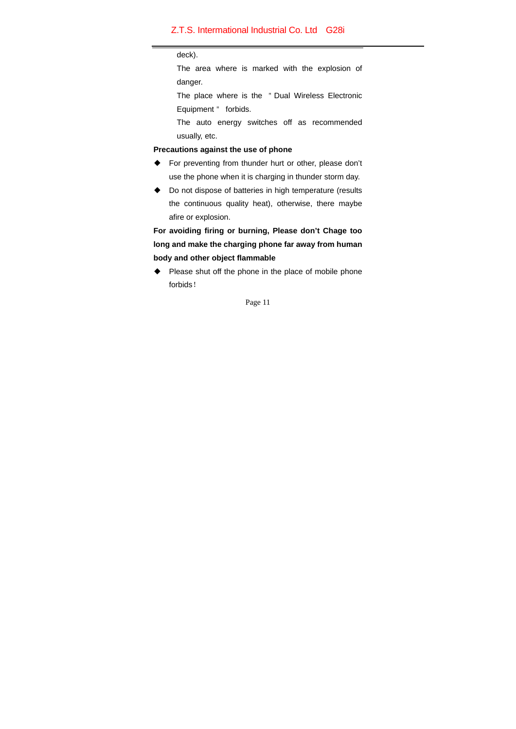#### deck).

The area where is marked with the explosion of danger.

The place where is the "Dual Wireless Electronic Equipment " forbids.

The auto energy switches off as recommended usually, etc.

### **Precautions against the use of phone**

- ◆ For preventing from thunder hurt or other, please don't use the phone when it is charging in thunder storm day.
- ◆ Do not dispose of batteries in high temperature (results the continuous quality heat), otherwise, there maybe afire or explosion.

**For avoiding firing or burning, Please don't Chage too long and make the charging phone far away from human body and other object flammable** 

◆ Please shut off the phone in the place of mobile phone forbids!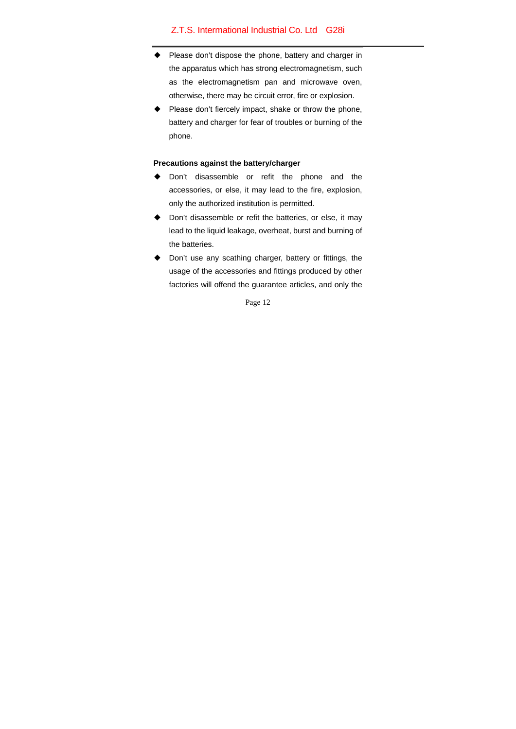- Please don't dispose the phone, battery and charger in the apparatus which has strong electromagnetism, such as the electromagnetism pan and microwave oven, otherwise, there may be circuit error, fire or explosion.
- Please don't fiercely impact, shake or throw the phone, battery and charger for fear of troubles or burning of the phone.

## **Precautions against the battery/charger**

- Don't disassemble or refit the phone and the accessories, or else, it may lead to the fire, explosion, only the authorized institution is permitted.
- ◆ Don't disassemble or refit the batteries, or else, it may lead to the liquid leakage, overheat, burst and burning of the batteries.
- ◆ Don't use any scathing charger, battery or fittings, the usage of the accessories and fittings produced by other factories will offend the guarantee articles, and only the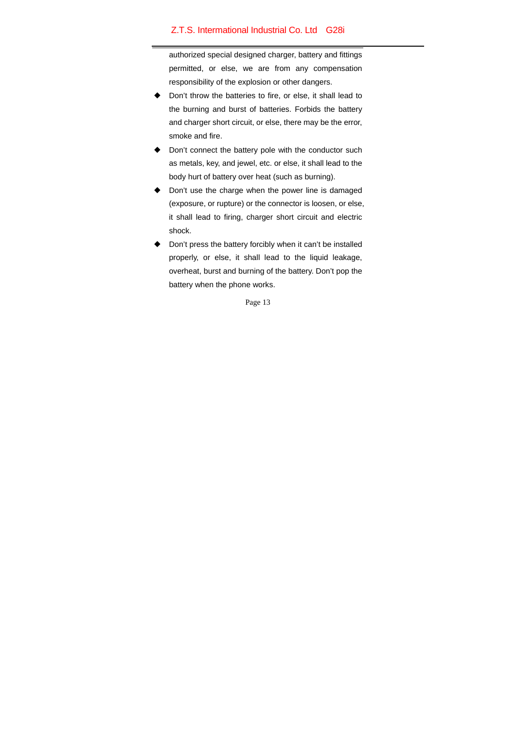authorized special designed charger, battery and fittings permitted, or else, we are from any compensation responsibility of the explosion or other dangers.

- Don't throw the batteries to fire, or else, it shall lead to the burning and burst of batteries. Forbids the battery and charger short circuit, or else, there may be the error, smoke and fire.
- ◆ Don't connect the battery pole with the conductor such as metals, key, and jewel, etc. or else, it shall lead to the body hurt of battery over heat (such as burning).
- ◆ Don't use the charge when the power line is damaged (exposure, or rupture) or the connector is loosen, or else, it shall lead to firing, charger short circuit and electric shock.
- Don't press the battery forcibly when it can't be installed properly, or else, it shall lead to the liquid leakage, overheat, burst and burning of the battery. Don't pop the battery when the phone works.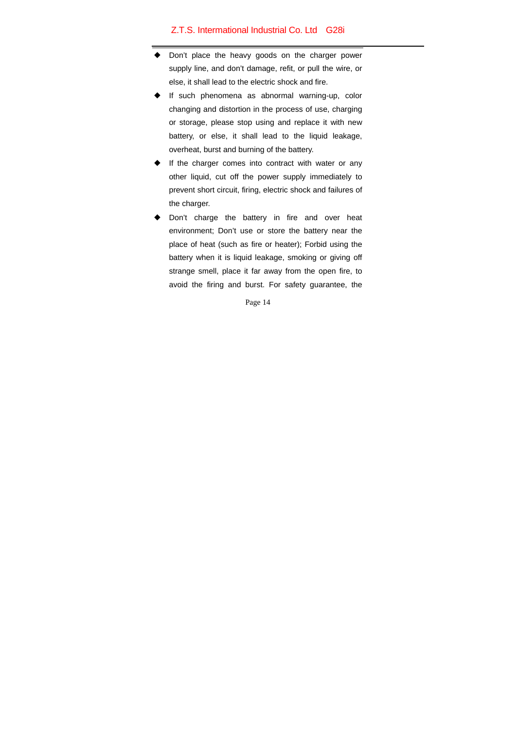- Don't place the heavy goods on the charger power supply line, and don't damage, refit, or pull the wire, or else, it shall lead to the electric shock and fire.
- If such phenomena as abnormal warning-up, color changing and distortion in the process of use, charging or storage, please stop using and replace it with new battery, or else, it shall lead to the liquid leakage, overheat, burst and burning of the battery.
- If the charger comes into contract with water or any other liquid, cut off the power supply immediately to prevent short circuit, firing, electric shock and failures of the charger.
- Don't charge the battery in fire and over heat environment; Don't use or store the battery near the place of heat (such as fire or heater); Forbid using the battery when it is liquid leakage, smoking or giving off strange smell, place it far away from the open fire, to avoid the firing and burst. For safety guarantee, the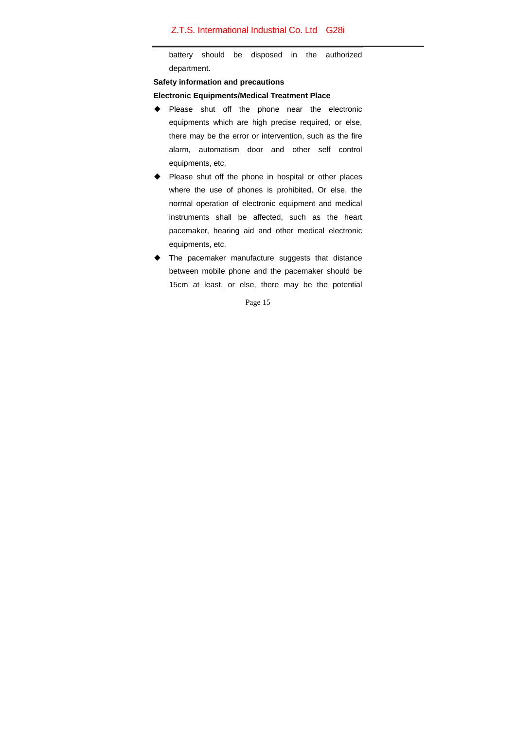battery should be disposed in the authorized department.

### **Safety information and precautions**

### **Electronic Equipments/Medical Treatment Place**

- ◆ Please shut off the phone near the electronic equipments which are high precise required, or else, there may be the error or intervention, such as the fire alarm, automatism door and other self control equipments, etc,
- Please shut off the phone in hospital or other places where the use of phones is prohibited. Or else, the normal operation of electronic equipment and medical instruments shall be affected, such as the heart pacemaker, hearing aid and other medical electronic equipments, etc.
- ◆ The pacemaker manufacture suggests that distance between mobile phone and the pacemaker should be 15cm at least, or else, there may be the potential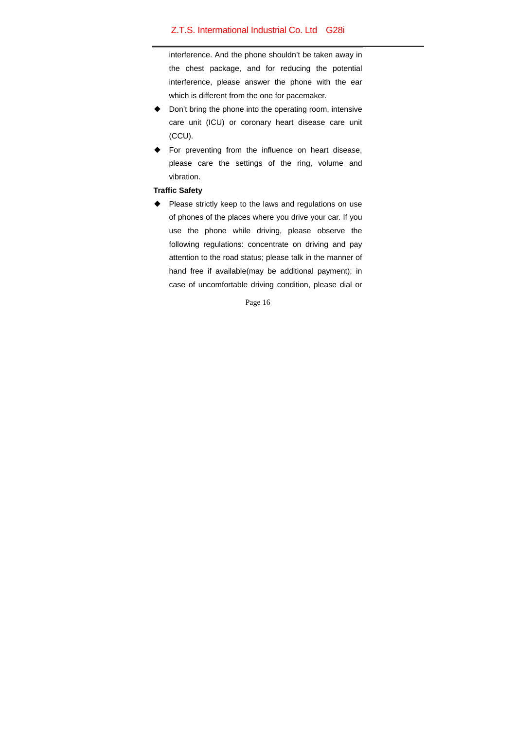interference. And the phone shouldn't be taken away in the chest package, and for reducing the potential interference, please answer the phone with the ear which is different from the one for pacemaker.

- ◆ Don't bring the phone into the operating room, intensive care unit (ICU) or coronary heart disease care unit (CCU).
- ◆ For preventing from the influence on heart disease, please care the settings of the ring, volume and vibration.

## **Traffic Safety**

Please strictly keep to the laws and regulations on use of phones of the places where you drive your car. If you use the phone while driving, please observe the following regulations: concentrate on driving and pay attention to the road status; please talk in the manner of hand free if available(may be additional payment); in case of uncomfortable driving condition, please dial or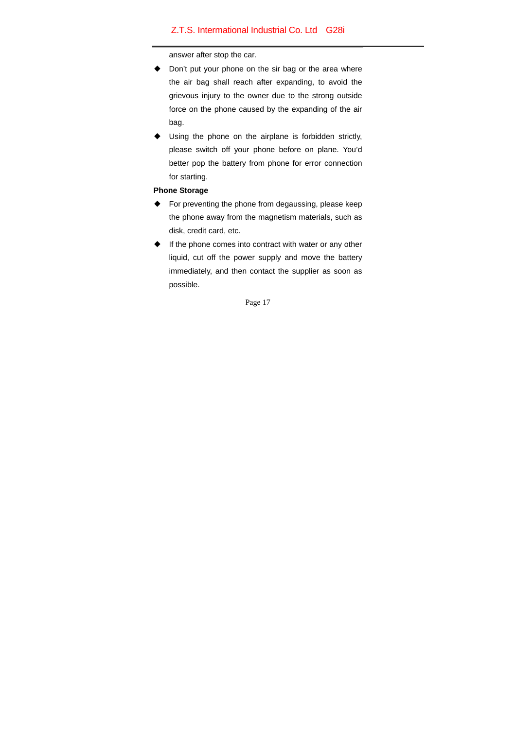answer after stop the car.

- ◆ Don't put your phone on the sir bag or the area where the air bag shall reach after expanding, to avoid the grievous injury to the owner due to the strong outside force on the phone caused by the expanding of the air bag.
- Using the phone on the airplane is forbidden strictly, please switch off your phone before on plane. You'd better pop the battery from phone for error connection for starting.

## **Phone Storage**

- For preventing the phone from degaussing, please keep the phone away from the magnetism materials, such as disk, credit card, etc.
- ◆ If the phone comes into contract with water or any other liquid, cut off the power supply and move the battery immediately, and then contact the supplier as soon as possible.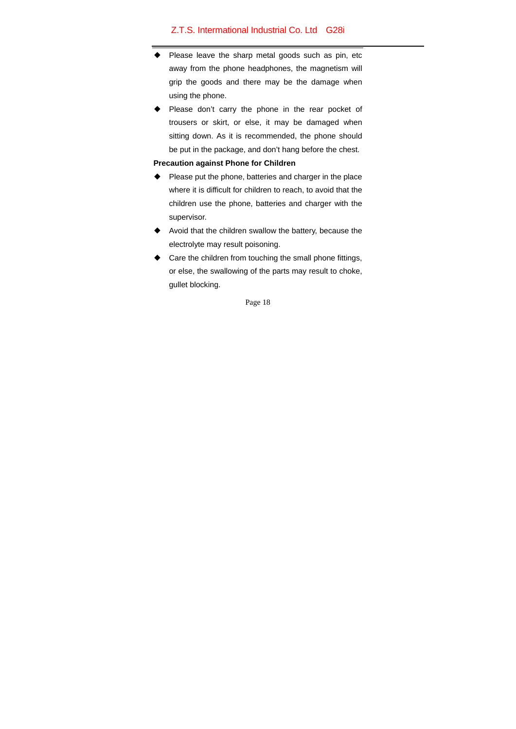- Please leave the sharp metal goods such as pin, etc away from the phone headphones, the magnetism will grip the goods and there may be the damage when using the phone.
- Please don't carry the phone in the rear pocket of trousers or skirt, or else, it may be damaged when sitting down. As it is recommended, the phone should be put in the package, and don't hang before the chest.

## **Precaution against Phone for Children**

- ◆ Please put the phone, batteries and charger in the place where it is difficult for children to reach, to avoid that the children use the phone, batteries and charger with the supervisor.
- Avoid that the children swallow the battery, because the electrolyte may result poisoning.
- ◆ Care the children from touching the small phone fittings, or else, the swallowing of the parts may result to choke, gullet blocking.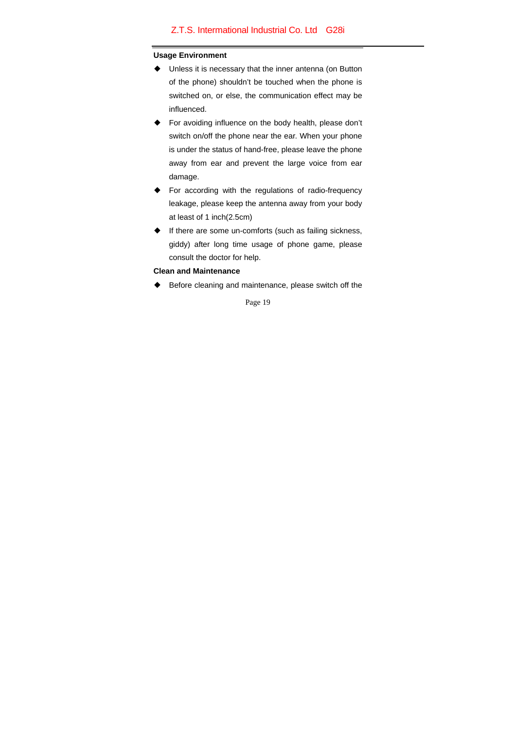#### **Usage Environment**

- ◆ Unless it is necessary that the inner antenna (on Button of the phone) shouldn't be touched when the phone is switched on, or else, the communication effect may be influenced.
- For avoiding influence on the body health, please don't switch on/off the phone near the ear. When your phone is under the status of hand-free, please leave the phone away from ear and prevent the large voice from ear damage.
- ◆ For according with the regulations of radio-frequency leakage, please keep the antenna away from your body at least of 1 inch(2.5cm)
- ◆ If there are some un-comforts (such as failing sickness, giddy) after long time usage of phone game, please consult the doctor for help.

## **Clean and Maintenance**

◆ Before cleaning and maintenance, please switch off the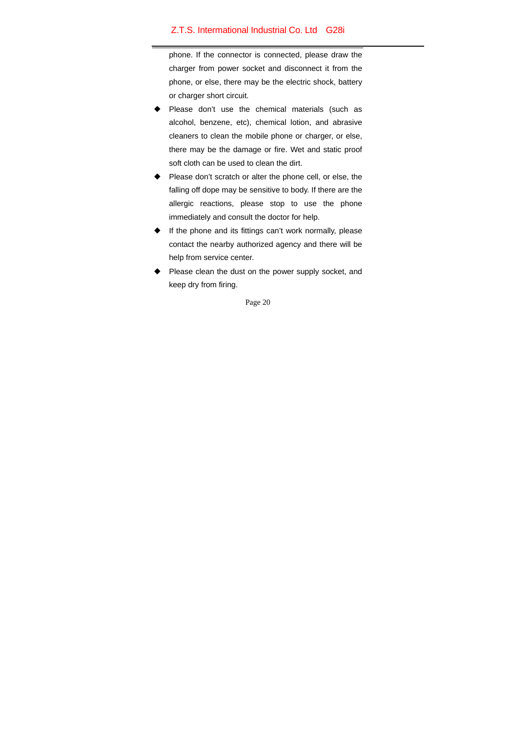phone. If the connector is connected, please draw the charger from power socket and disconnect it from the phone, or else, there may be the electric shock, battery or charger short circuit.

- Please don't use the chemical materials (such as alcohol, benzene, etc), chemical lotion, and abrasive cleaners to clean the mobile phone or charger, or else, there may be the damage or fire. Wet and static proof soft cloth can be used to clean the dirt.
- Please don't scratch or alter the phone cell, or else, the falling off dope may be sensitive to body. If there are the allergic reactions, please stop to use the phone immediately and consult the doctor for help.
- If the phone and its fittings can't work normally, please contact the nearby authorized agency and there will be help from service center.
- Please clean the dust on the power supply socket, and keep dry from firing.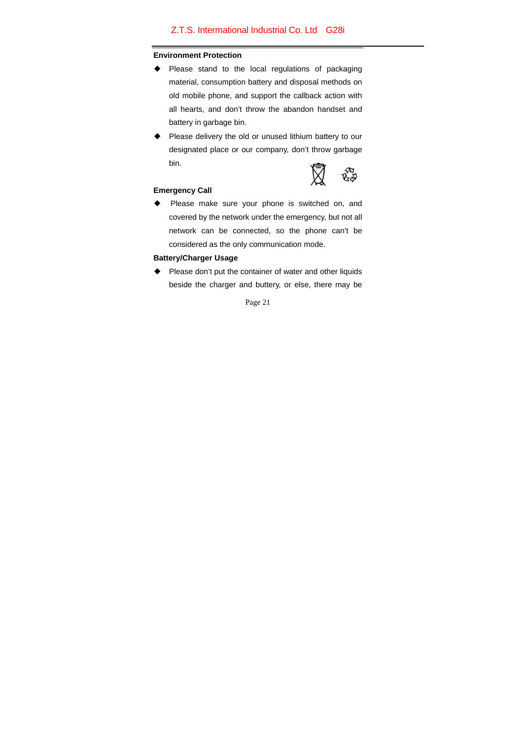### **Environment Protection**

- ◆ Please stand to the local regulations of packaging material, consumption battery and disposal methods on old mobile phone, and support the callback action with all hearts, and don't throw the abandon handset and battery in garbage bin.
- ◆ Please delivery the old or unused lithium battery to our designated place or our company, don't throw garbage bin.



## **Emergency Call**

◆ Please make sure your phone is switched on, and covered by the network under the emergency, but not all network can be connected, so the phone can't be considered as the only communication mode.

### **Battery/Charger Usage**

◆ Please don't put the container of water and other liquids beside the charger and buttery, or else, there may be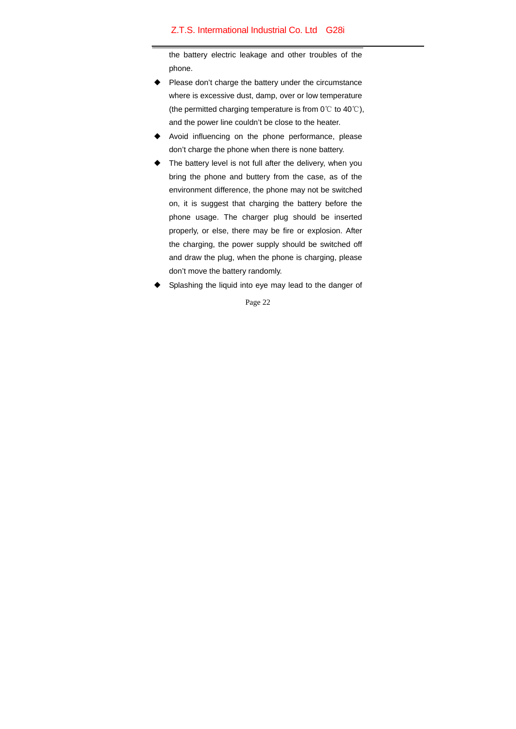the battery electric leakage and other troubles of the phone.

- Please don't charge the battery under the circumstance where is excessive dust, damp, over or low temperature (the permitted charging temperature is from 0℃ to 40℃), and the power line couldn't be close to the heater.
- ◆ Avoid influencing on the phone performance, please don't charge the phone when there is none battery.
- The battery level is not full after the delivery, when you bring the phone and buttery from the case, as of the environment difference, the phone may not be switched on, it is suggest that charging the battery before the phone usage. The charger plug should be inserted properly, or else, there may be fire or explosion. After the charging, the power supply should be switched off and draw the plug, when the phone is charging, please don't move the battery randomly.
- Splashing the liquid into eye may lead to the danger of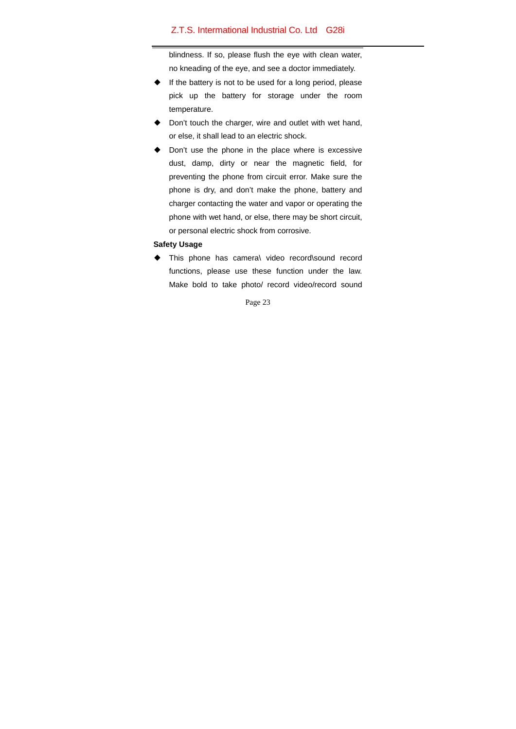blindness. If so, please flush the eye with clean water, no kneading of the eye, and see a doctor immediately.

- ◆ If the battery is not to be used for a long period, please pick up the battery for storage under the room temperature.
- Don't touch the charger, wire and outlet with wet hand, or else, it shall lead to an electric shock.
- ◆ Don't use the phone in the place where is excessive dust, damp, dirty or near the magnetic field, for preventing the phone from circuit error. Make sure the phone is dry, and don't make the phone, battery and charger contacting the water and vapor or operating the phone with wet hand, or else, there may be short circuit, or personal electric shock from corrosive.

### **Safety Usage**

◆ This phone has camera\ video record\sound record functions, please use these function under the law. Make bold to take photo/ record video/record sound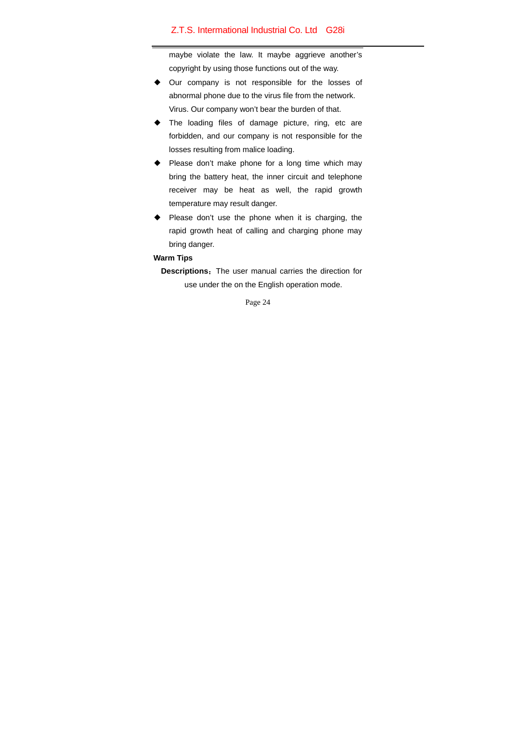maybe violate the law. It maybe aggrieve another's copyright by using those functions out of the way.

- ◆ Our company is not responsible for the losses of abnormal phone due to the virus file from the network. Virus. Our company won't bear the burden of that.
- The loading files of damage picture, ring, etc are forbidden, and our company is not responsible for the losses resulting from malice loading.
- Please don't make phone for a long time which may bring the battery heat, the inner circuit and telephone receiver may be heat as well, the rapid growth temperature may result danger.
- ◆ Please don't use the phone when it is charging, the rapid growth heat of calling and charging phone may bring danger.

## **Warm Tips**

**Descriptions:** The user manual carries the direction for use under the on the English operation mode.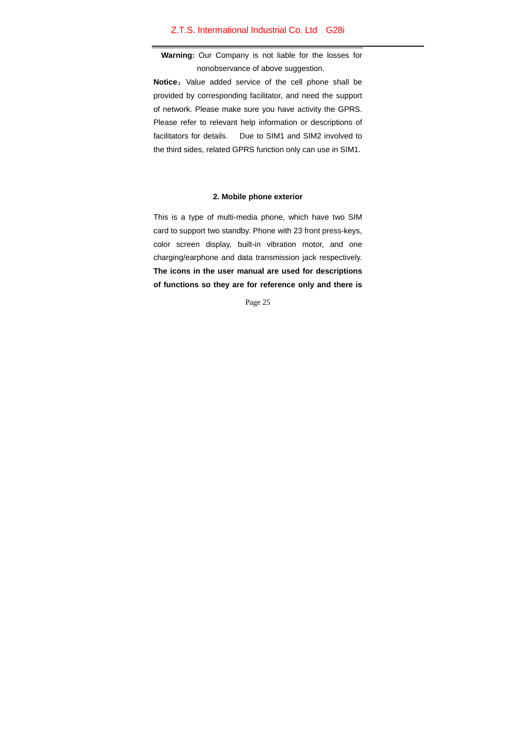**Warning:** Our Company is not liable for the losses for nonobservance of above suggestion.

**Notice:** Value added service of the cell phone shall be provided by corresponding facilitator, and need the support of network. Please make sure you have activity the GPRS. Please refer to relevant help information or descriptions of facilitators for details. Due to SIM1 and SIM2 involved to the third sides, related GPRS function only can use in SIM1.

### **2. Mobile phone exterior**

This is a type of multi-media phone, which have two SIM card to support two standby. Phone with 23 front press-keys, color screen display, built-in vibration motor, and one charging/earphone and data transmission jack respectively. **The icons in the user manual are used for descriptions of functions so they are for reference only and there is**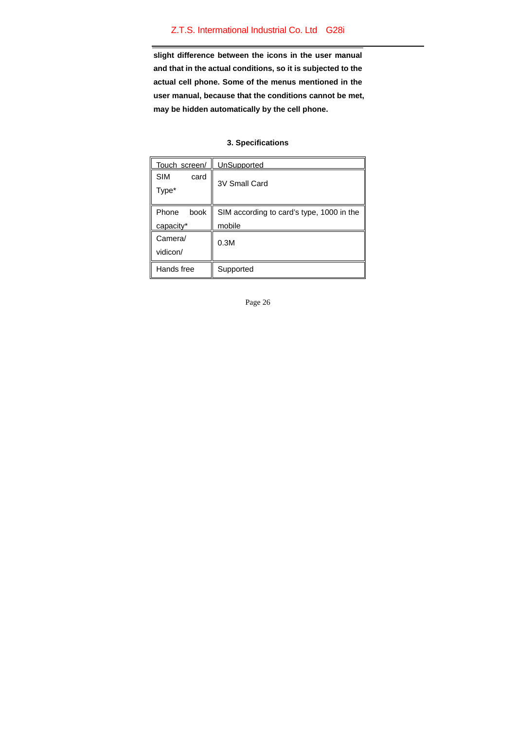**slight difference between the icons in the user manual and that in the actual conditions, so it is subjected to the actual cell phone. Some of the menus mentioned in the user manual, because that the conditions cannot be met, may be hidden automatically by the cell phone.** 

## **3. Specifications**

| Touch screen/               | UnSupported                                         |
|-----------------------------|-----------------------------------------------------|
| <b>SIM</b><br>card<br>Type* | 3V Small Card                                       |
| book<br>Phone<br>capacity*  | SIM according to card's type, 1000 in the<br>mobile |
| Camera/<br>vidicon/         | 0.3M                                                |
| Hands free                  | Supported                                           |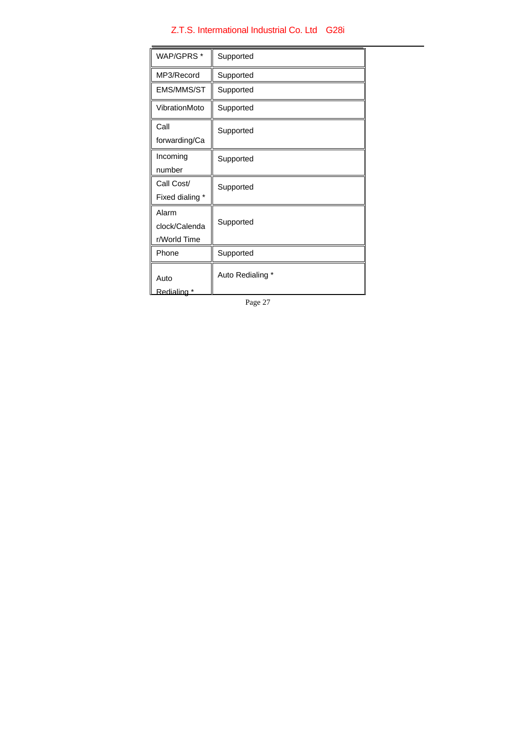| WAP/GPRS*        | Supported        |
|------------------|------------------|
| MP3/Record       | Supported        |
| EMS/MMS/ST       | Supported        |
| VibrationMoto    | Supported        |
| Call             | Supported        |
| forwarding/Ca    |                  |
| Incoming         | Supported        |
| number           |                  |
| Call Cost/       | Supported        |
| Fixed dialing *  |                  |
| Alarm            |                  |
| clock/Calenda    | Supported        |
| r/World Time     |                  |
| Phone            | Supported        |
| Auto             | Auto Redialing * |
| <u>Redialing</u> |                  |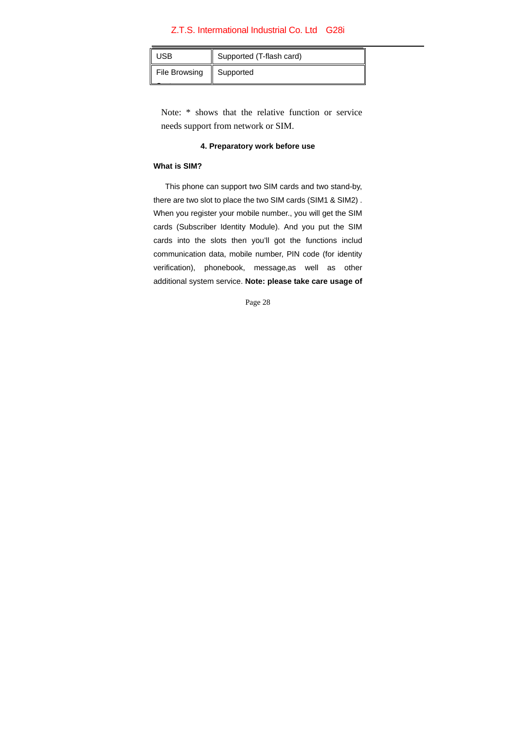| JSB           | Supported (T-flash card) |
|---------------|--------------------------|
| File Browsing | Supported                |

Note: \* shows that the relative function or service needs support from network or SIM.

## **4. Preparatory work before use**

## **What is SIM?**

This phone can support two SIM cards and two stand-by, there are two slot to place the two SIM cards (SIM1 & SIM2) . When you register your mobile number., you will get the SIM cards (Subscriber Identity Module). And you put the SIM cards into the slots then you'll got the functions includ communication data, mobile number, PIN code (for identity verification), phonebook, message,as well as other additional system service. **Note: please take care usage of**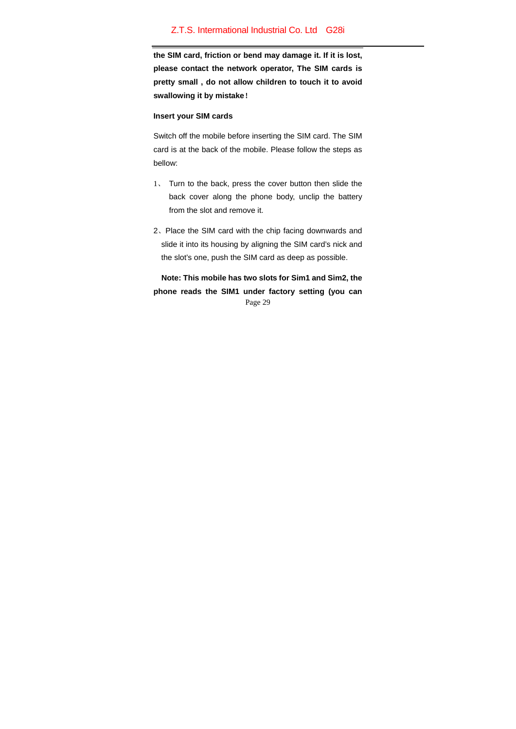**the SIM card, friction or bend may damage it. If it is lost, please contact the network operator, The SIM cards is pretty small , do not allow children to touch it to avoid swallowing it by mistake**!

### **Insert your SIM cards**

Switch off the mobile before inserting the SIM card. The SIM card is at the back of the mobile. Please follow the steps as bellow:

- 1、 Turn to the back, press the cover button then slide the back cover along the phone body, unclip the battery from the slot and remove it.
- 2、Place the SIM card with the chip facing downwards and slide it into its housing by aligning the SIM card's nick and the slot's one, push the SIM card as deep as possible.

Page 29  **Note: This mobile has two slots for Sim1 and Sim2, the phone reads the SIM1 under factory setting (you can**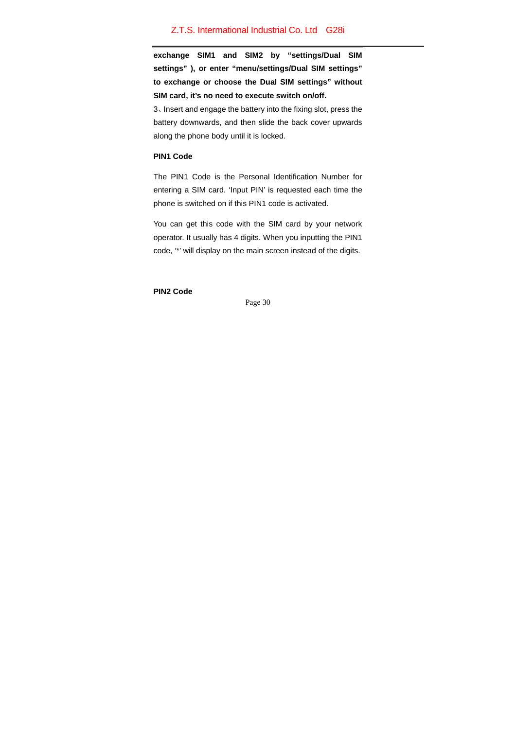**exchange SIM1 and SIM2 by "settings/Dual SIM settings" ), or enter "menu/settings/Dual SIM settings" to exchange or choose the Dual SIM settings" without SIM card, it's no need to execute switch on/off.** 

3、Insert and engage the battery into the fixing slot, press the battery downwards, and then slide the back cover upwards along the phone body until it is locked.

# **PIN1 Code**

The PIN1 Code is the Personal Identification Number for entering a SIM card. 'Input PIN' is requested each time the phone is switched on if this PIN1 code is activated.

You can get this code with the SIM card by your network operator. It usually has 4 digits. When you inputting the PIN1 code, '\*' will display on the main screen instead of the digits.

**PIN2 Code**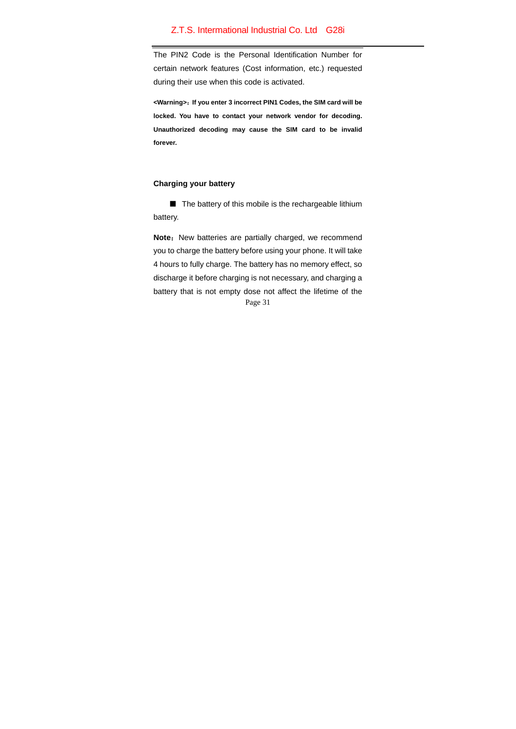The PIN2 Code is the Personal Identification Number for certain network features (Cost information, etc.) requested during their use when this code is activated.

**<Warning>**:**If you enter 3 incorrect PIN1 Codes, the SIM card will be locked. You have to contact your network vendor for decoding. Unauthorized decoding may cause the SIM card to be invalid forever.** 

### **Charging your battery**

■ The battery of this mobile is the rechargeable lithium battery.

Page 31 Note: New batteries are partially charged, we recommend you to charge the battery before using your phone. It will take 4 hours to fully charge. The battery has no memory effect, so discharge it before charging is not necessary, and charging a battery that is not empty dose not affect the lifetime of the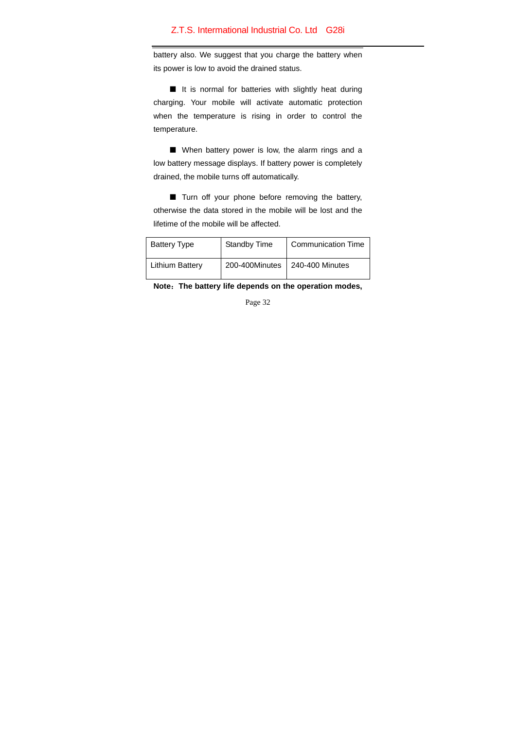battery also. We suggest that you charge the battery when its power is low to avoid the drained status.

■ It is normal for batteries with slightly heat during charging. Your mobile will activate automatic protection when the temperature is rising in order to control the temperature.

■ When battery power is low, the alarm rings and a low battery message displays. If battery power is completely drained, the mobile turns off automatically.

■ Turn off your phone before removing the battery, otherwise the data stored in the mobile will be lost and the lifetime of the mobile will be affected.

| <b>Battery Type</b>    | Standby Time | <b>Communication Time</b>        |
|------------------------|--------------|----------------------------------|
| <b>Lithium Battery</b> |              | 200-400Minutes   240-400 Minutes |

**Note**:**The battery life depends on the operation modes,**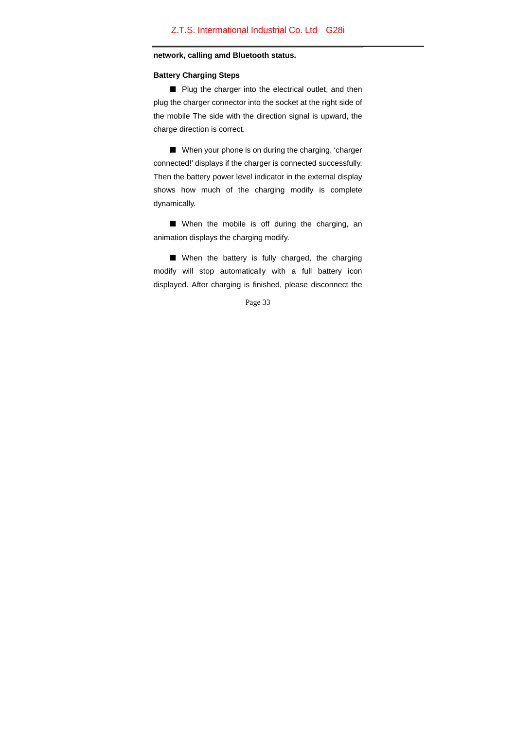#### **network, calling amd Bluetooth status.**

#### **Battery Charging Steps**

■ Plug the charger into the electrical outlet, and then plug the charger connector into the socket at the right side of the mobile The side with the direction signal is upward, the charge direction is correct.

■ When your phone is on during the charging, 'charger connected!' displays if the charger is connected successfully. Then the battery power level indicator in the external display shows how much of the charging modify is complete dynamically.

■ When the mobile is off during the charging, an animation displays the charging modify.

■ When the battery is fully charged, the charging modify will stop automatically with a full battery icon displayed. After charging is finished, please disconnect the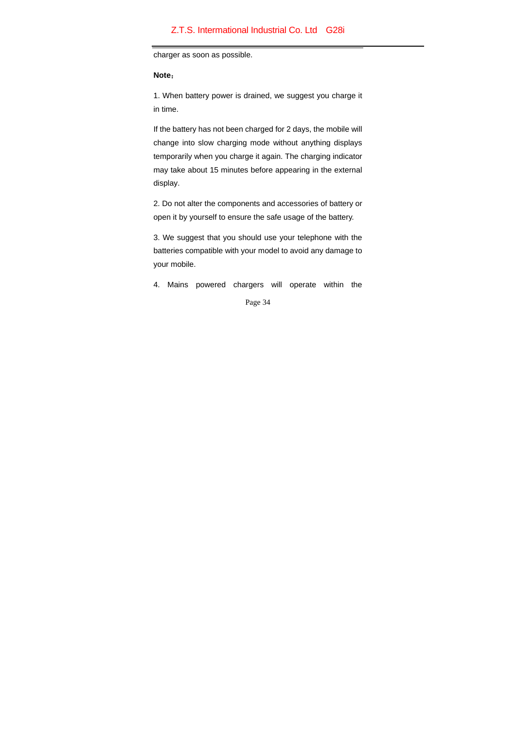charger as soon as possible.

### **Note**:

1. When battery power is drained, we suggest you charge it in time.

If the battery has not been charged for 2 days, the mobile will change into slow charging mode without anything displays temporarily when you charge it again. The charging indicator may take about 15 minutes before appearing in the external display.

2. Do not alter the components and accessories of battery or open it by yourself to ensure the safe usage of the battery.

3. We suggest that you should use your telephone with the batteries compatible with your model to avoid any damage to your mobile.

4. Mains powered chargers will operate within the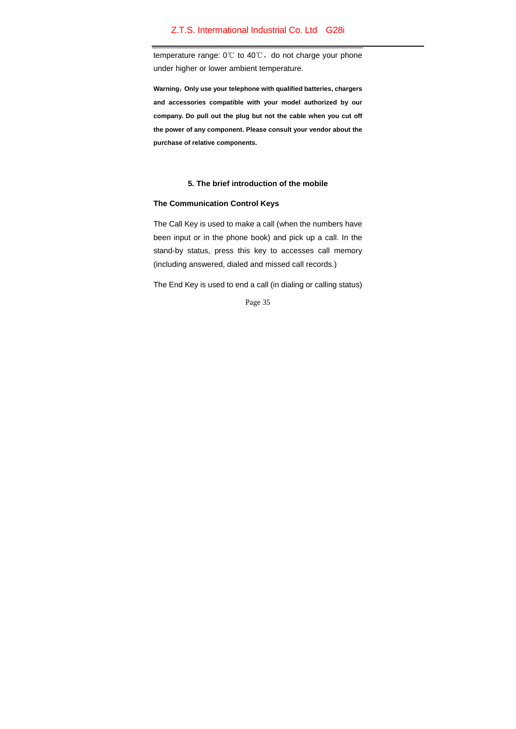temperature range: 0℃ to 40℃, do not charge your phone under higher or lower ambient temperature.

**Warning**:**Only use your telephone with qualified batteries, chargers and accessories compatible with your model authorized by our company. Do pull out the plug but not the cable when you cut off the power of any component. Please consult your vendor about the purchase of relative components.** 

## **5. The brief introduction of the mobile**

## **The Communication Control Keys**

The Call Key is used to make a call (when the numbers have been input or in the phone book) and pick up a call. In the stand-by status, press this key to accesses call memory (including answered, dialed and missed call records.)

The End Key is used to end a call (in dialing or calling status)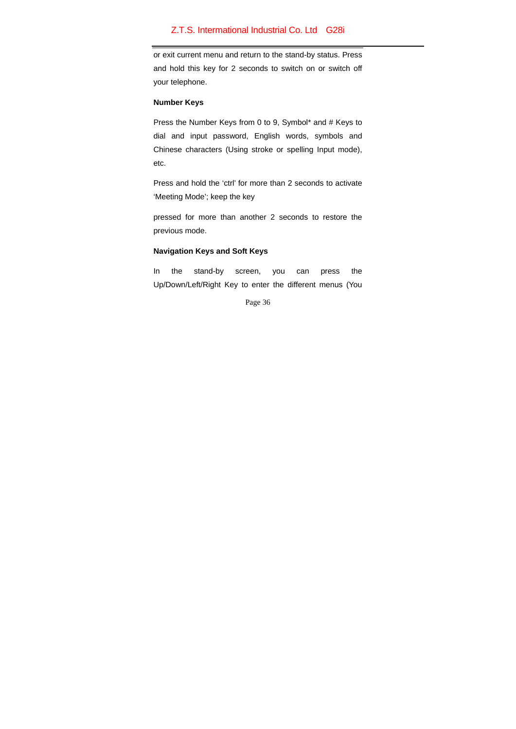or exit current menu and return to the stand-by status. Press and hold this key for 2 seconds to switch on or switch off your telephone.

## **Number Keys**

Press the Number Keys from 0 to 9, Symbol\* and # Keys to dial and input password, English words, symbols and Chinese characters (Using stroke or spelling Input mode), etc.

Press and hold the 'ctrl' for more than 2 seconds to activate 'Meeting Mode'; keep the key

pressed for more than another 2 seconds to restore the previous mode.

## **Navigation Keys and Soft Keys**

In the stand-by screen, you can press the Up/Down/Left/Right Key to enter the different menus (You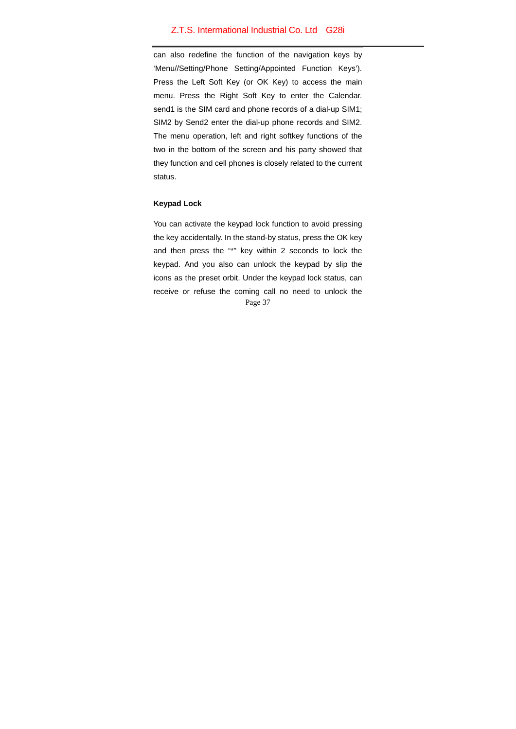can also redefine the function of the navigation keys by 'Menu//Setting/Phone Setting/Appointed Function Keys'). Press the Left Soft Key (or OK Key) to access the main menu. Press the Right Soft Key to enter the Calendar. send1 is the SIM card and phone records of a dial-up SIM1; SIM2 by Send2 enter the dial-up phone records and SIM2. The menu operation, left and right softkey functions of the two in the bottom of the screen and his party showed that they function and cell phones is closely related to the current status.

## **Keypad Lock**

Page 37 You can activate the keypad lock function to avoid pressing the key accidentally. In the stand-by status, press the OK key and then press the "\*" key within 2 seconds to lock the keypad. And you also can unlock the keypad by slip the icons as the preset orbit. Under the keypad lock status, can receive or refuse the coming call no need to unlock the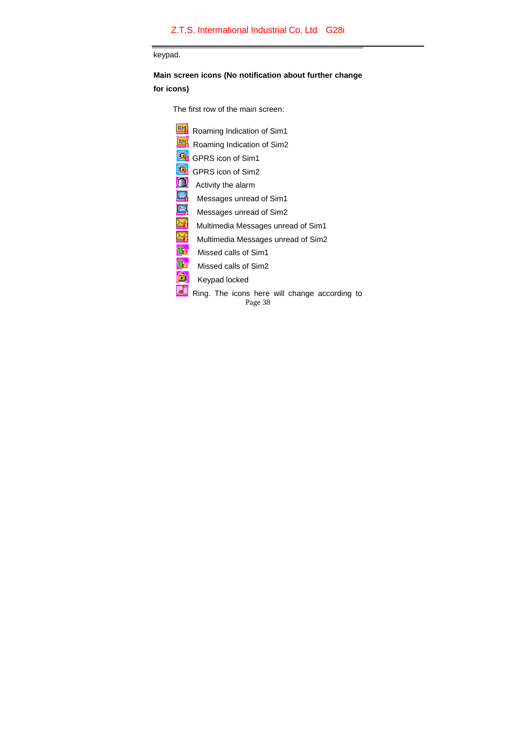keypad.

**Main screen icons (No notification about further change** 

**for icons)** 

 $\overline{\phantom{a}}$ 

The first row of the main screen:

| <b>BM</b> Roaming Indication of Sim1                     |
|----------------------------------------------------------|
| BM<br>Roaming Indication of Sim2                         |
| GPRS icon of Sim1                                        |
| GPRS icon of Sim2                                        |
| Œ<br>Activity the alarm                                  |
| ₩<br>Messages unread of Sim1                             |
| ¥<br>Messages unread of Sim2                             |
| ă<br>Multimedia Messages unread of Sim1                  |
| ∳<br>Multimedia Messages unread of Sim2                  |
| ĥ<br>Missed calls of Sim1                                |
| È<br>Missed calls of Sim2                                |
| <br>Keypad locked                                        |
| Ring. The icons here will change according to<br>Page 38 |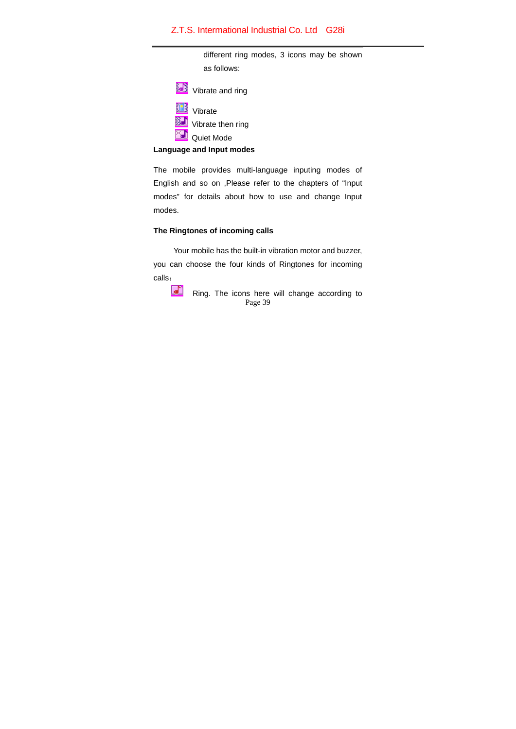different ring modes, 3 icons may be shown as follows:



# **Language and Input modes**

The mobile provides multi-language inputing modes of English and so on ,Please refer to the chapters of "Input modes" for details about how to use and change Input modes.

## **The Ringtones of incoming calls**

Your mobile has the built-in vibration motor and buzzer, you can choose the four kinds of Ringtones for incoming calls:

Page 39 Ring. The icons here will change according to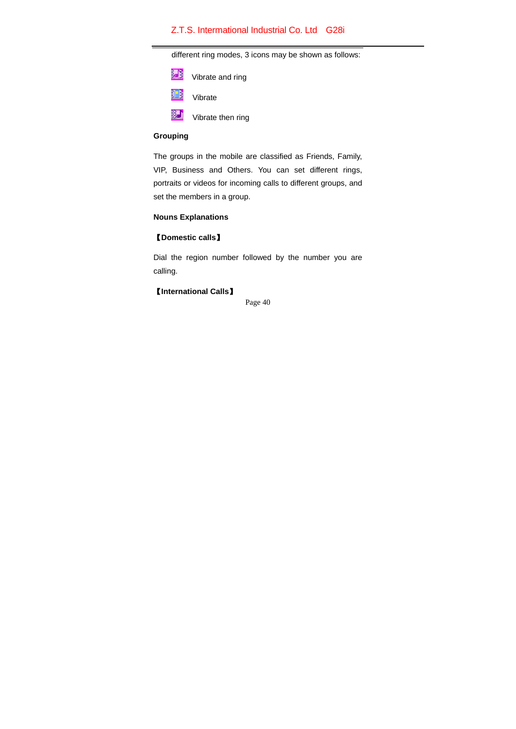different ring modes, 3 icons may be shown as follows:

| Vibrate and ring |
|------------------|
| Vibrate          |

**WE Vibrate then ring** 

## **Grouping**

The groups in the mobile are classified as Friends, Family, VIP, Business and Others. You can set different rings, portraits or videos for incoming calls to different groups, and set the members in a group.

# **Nouns Explanations**

# 【**Domestic calls**】

Dial the region number followed by the number you are calling.

# 【**International Calls**】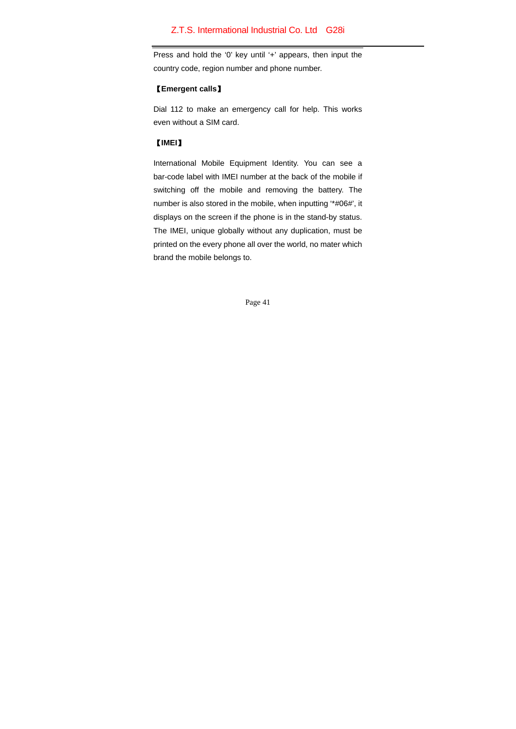Press and hold the '0' key until '+' appears, then input the country code, region number and phone number.

## 【**Emergent calls**】

Dial 112 to make an emergency call for help. This works even without a SIM card.

## 【**IMEI**】

International Mobile Equipment Identity. You can see a bar-code label with IMEI number at the back of the mobile if switching off the mobile and removing the battery. The number is also stored in the mobile, when inputting '\*#06#', it displays on the screen if the phone is in the stand-by status. The IMEI, unique globally without any duplication, must be printed on the every phone all over the world, no mater which brand the mobile belongs to.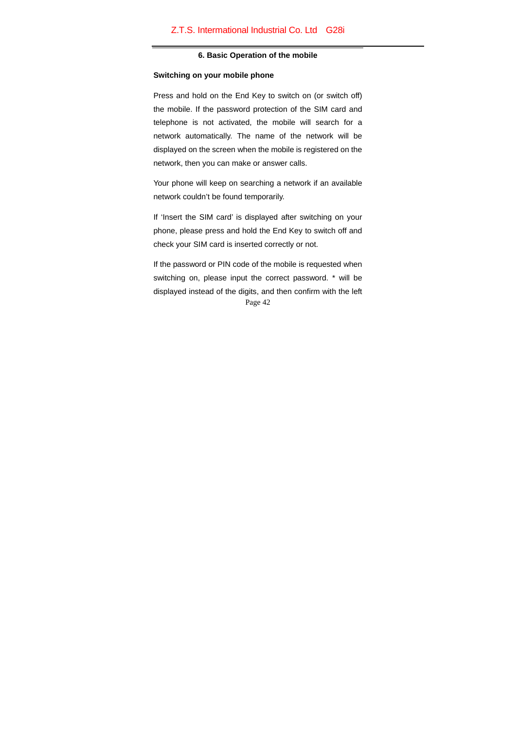#### **6. Basic Operation of the mobile**

#### **Switching on your mobile phone**

Press and hold on the End Key to switch on (or switch off) the mobile. If the password protection of the SIM card and telephone is not activated, the mobile will search for a network automatically. The name of the network will be displayed on the screen when the mobile is registered on the network, then you can make or answer calls.

Your phone will keep on searching a network if an available network couldn't be found temporarily.

If 'Insert the SIM card' is displayed after switching on your phone, please press and hold the End Key to switch off and check your SIM card is inserted correctly or not.

Page 42 If the password or PIN code of the mobile is requested when switching on, please input the correct password. \* will be displayed instead of the digits, and then confirm with the left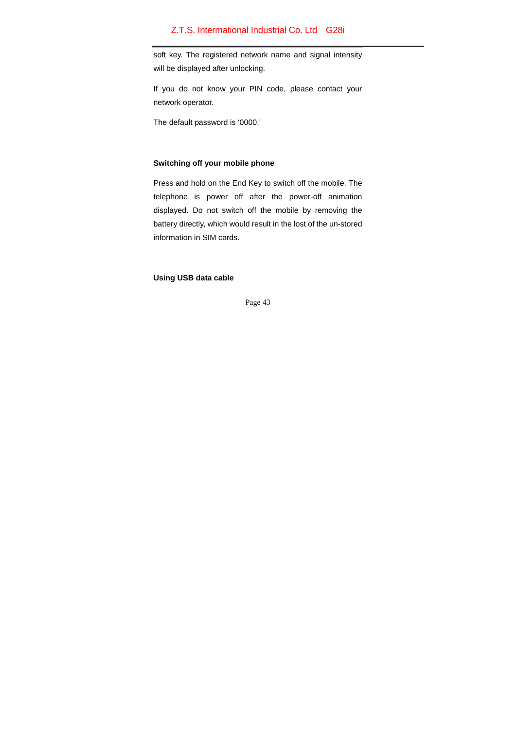soft key. The registered network name and signal intensity will be displayed after unlocking.

If you do not know your PIN code, please contact your network operator.

The default password is '0000.'

## **Switching off your mobile phone**

Press and hold on the End Key to switch off the mobile. The telephone is power off after the power-off animation displayed. Do not switch off the mobile by removing the battery directly, which would result in the lost of the un-stored information in SIM cards.

**Using USB data cable**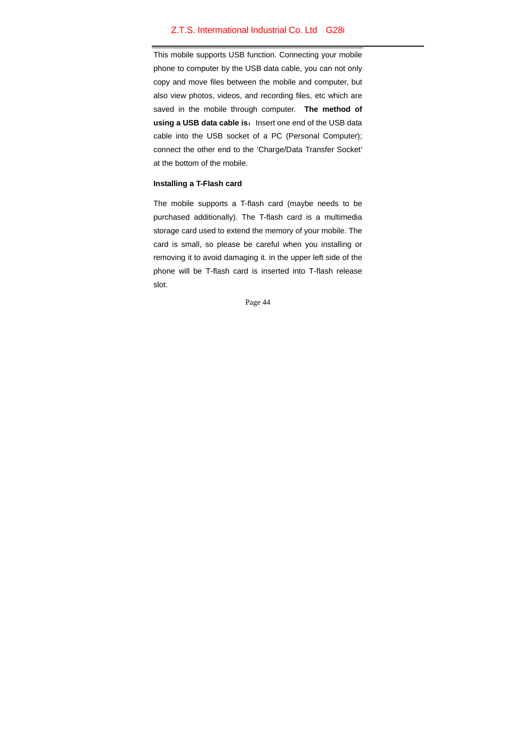This mobile supports USB function. Connecting your mobile phone to computer by the USB data cable, you can not only copy and move files between the mobile and computer, but also view photos, videos, and recording files, etc which are saved in the mobile through computer. **The method of**  using a USB data cable is: Insert one end of the USB data cable into the USB socket of a PC (Personal Computer); connect the other end to the 'Charge/Data Transfer Socket' at the bottom of the mobile.

#### **Installing a T-Flash card**

The mobile supports a T-flash card (maybe needs to be purchased additionally). The T-flash card is a multimedia storage card used to extend the memory of your mobile. The card is small, so please be careful when you installing or removing it to avoid damaging it. in the upper left side of the phone will be T-flash card is inserted into T-flash release slot.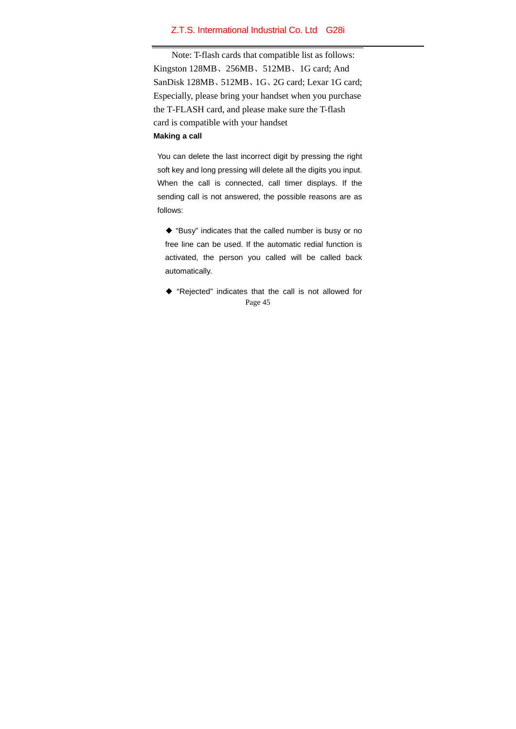Note: T-flash cards that compatible list as follows: Kingston 128MB、256MB、512MB、1G card; And SanDisk 128MB、512MB、1G、2G card; Lexar 1G card; Especially, please bring your handset when you purchase the T-FLASH card, and please make sure the T-flash card is compatible with your handset **Making a call** 

You can delete the last incorrect digit by pressing the right soft key and long pressing will delete all the digits you input. When the call is connected, call timer displays. If the sending call is not answered, the possible reasons are as follows:

◆ "Busy" indicates that the called number is busy or no free line can be used. If the automatic redial function is activated, the person you called will be called back automatically.

Page 45 ◆ "Rejected" indicates that the call is not allowed for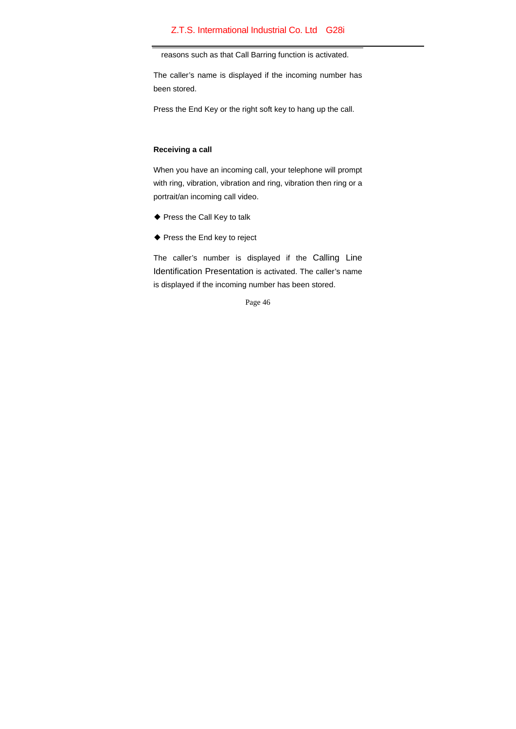reasons such as that Call Barring function is activated.

The caller's name is displayed if the incoming number has been stored.

Press the End Key or the right soft key to hang up the call.

## **Receiving a call**

When you have an incoming call, your telephone will prompt with ring, vibration, vibration and ring, vibration then ring or a portrait/an incoming call video.

- ◆ Press the Call Key to talk
- ◆ Press the End key to reject

The caller's number is displayed if the Calling Line Identification Presentation is activated. The caller's name is displayed if the incoming number has been stored.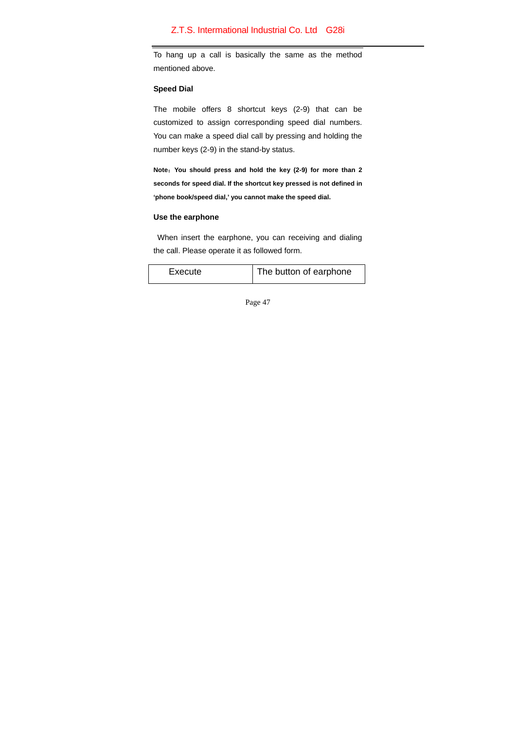To hang up a call is basically the same as the method mentioned above.

#### **Speed Dial**

The mobile offers 8 shortcut keys (2-9) that can be customized to assign corresponding speed dial numbers. You can make a speed dial call by pressing and holding the number keys (2-9) in the stand-by status.

**Note**:**You should press and hold the key (2-9) for more than 2 seconds for speed dial. If the shortcut key pressed is not defined in 'phone book/speed dial,' you cannot make the speed dial.**

## **Use the earphone**

When insert the earphone, you can receiving and dialing the call. Please operate it as followed form.

| Execute | The button of earphone |
|---------|------------------------|
|---------|------------------------|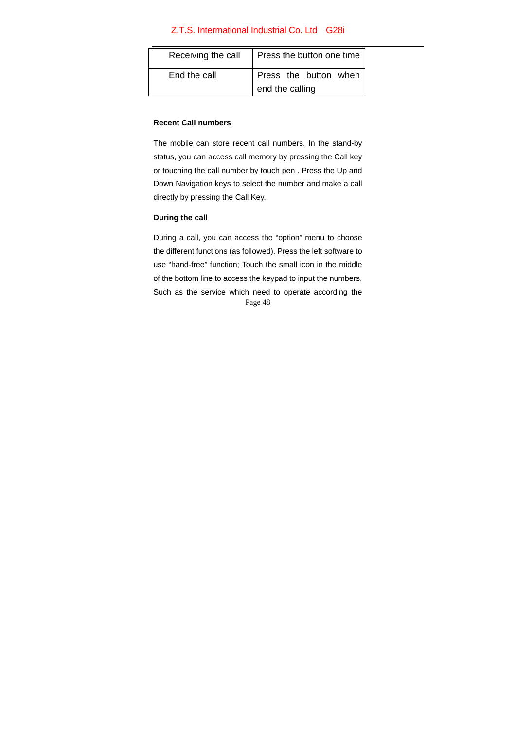| Receiving the call | Press the button one time |
|--------------------|---------------------------|
| End the call       | Press the button when     |
|                    | end the calling           |

## **Recent Call numbers**

The mobile can store recent call numbers. In the stand-by status, you can access call memory by pressing the Call key or touching the call number by touch pen . Press the Up and Down Navigation keys to select the number and make a call directly by pressing the Call Key.

## **During the call**

Page 48 During a call, you can access the "option" menu to choose the different functions (as followed). Press the left software to use "hand-free" function; Touch the small icon in the middle of the bottom line to access the keypad to input the numbers. Such as the service which need to operate according the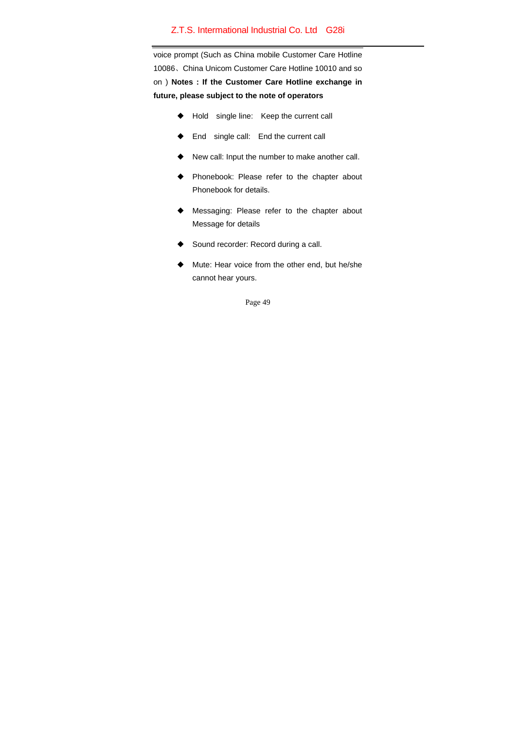voice prompt (Such as China mobile Customer Care Hotline 10086、China Unicom Customer Care Hotline 10010 and so on ) **Notes : If the Customer Care Hotline exchange in future, please subject to the note of operators** 

- ◆ Hold single line: Keep the current call
- ◆ End single call: End the current call
- ◆ New call: Input the number to make another call.
- ◆ Phonebook: Please refer to the chapter about Phonebook for details.
- ◆ Messaging: Please refer to the chapter about Message for details
- Sound recorder: Record during a call.
- Mute: Hear voice from the other end, but he/she cannot hear yours.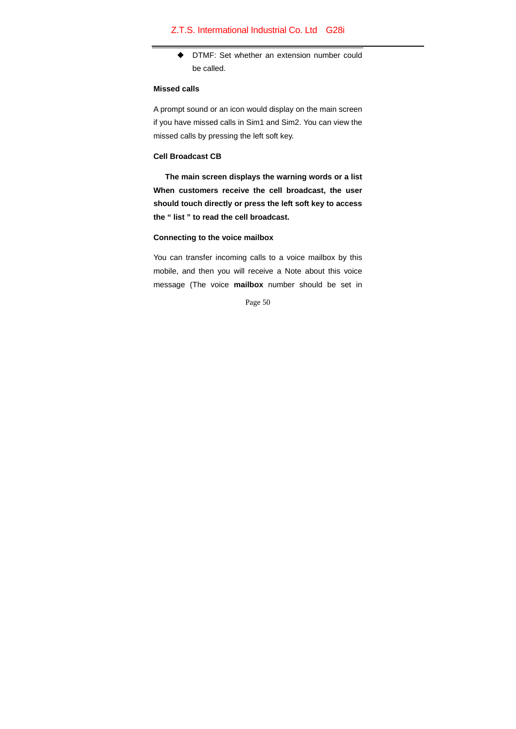◆ DTMF: Set whether an extension number could be called.

#### **Missed calls**

A prompt sound or an icon would display on the main screen if you have missed calls in Sim1 and Sim2. You can view the missed calls by pressing the left soft key.

# **Cell Broadcast CB**

 **The main screen displays the warning words or a list When customers receive the cell broadcast, the user should touch directly or press the left soft key to access the " list " to read the cell broadcast.** 

#### **Connecting to the voice mailbox**

You can transfer incoming calls to a voice mailbox by this mobile, and then you will receive a Note about this voice message (The voice **mailbox** number should be set in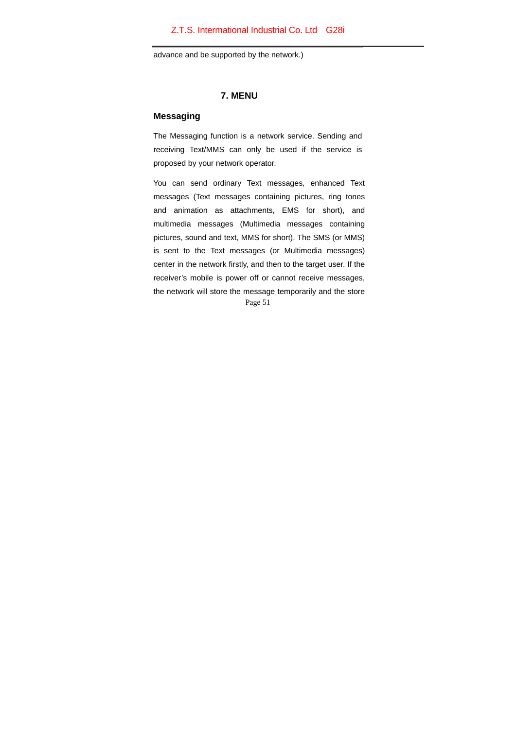advance and be supported by the network.)

# **7. MENU**

## **Messaging**

The Messaging function is a network service. Sending and receiving Text/MMS can only be used if the service is proposed by your network operator.

Page 51 You can send ordinary Text messages, enhanced Text messages (Text messages containing pictures, ring tones and animation as attachments, EMS for short), and multimedia messages (Multimedia messages containing pictures, sound and text, MMS for short). The SMS (or MMS) is sent to the Text messages (or Multimedia messages) center in the network firstly, and then to the target user. If the receiver's mobile is power off or cannot receive messages, the network will store the message temporarily and the store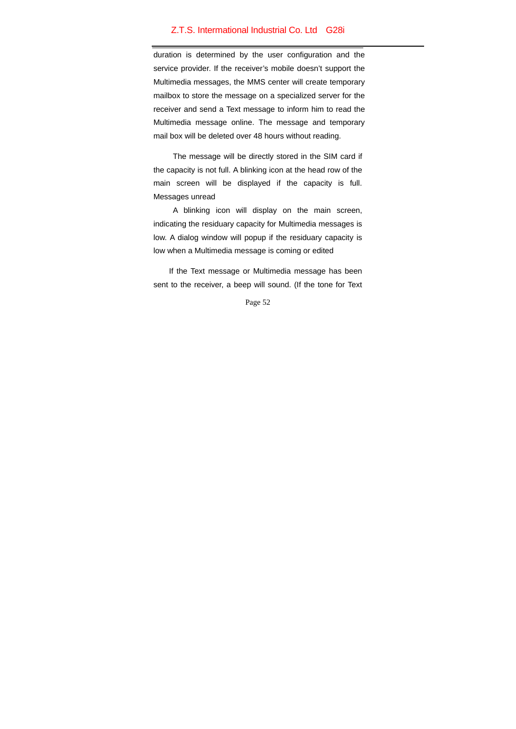duration is determined by the user configuration and the service provider. If the receiver's mobile doesn't support the Multimedia messages, the MMS center will create temporary mailbox to store the message on a specialized server for the receiver and send a Text message to inform him to read the Multimedia message online. The message and temporary mail box will be deleted over 48 hours without reading.

The message will be directly stored in the SIM card if the capacity is not full. A blinking icon at the head row of the main screen will be displayed if the capacity is full. Messages unread

A blinking icon will display on the main screen, indicating the residuary capacity for Multimedia messages is low. A dialog window will popup if the residuary capacity is low when a Multimedia message is coming or edited

If the Text message or Multimedia message has been sent to the receiver, a beep will sound. (If the tone for Text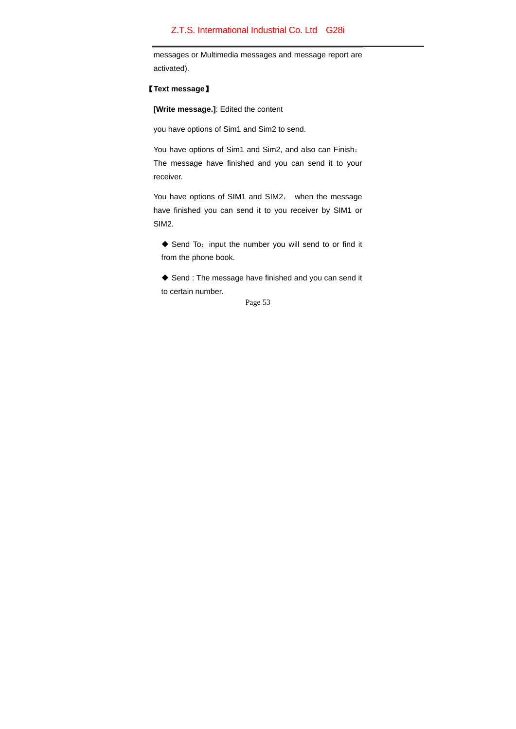messages or Multimedia messages and message report are activated).

## 【**Text message**】

**[Write message.]**: Edited the content

you have options of Sim1 and Sim2 to send.

You have options of Sim1 and Sim2, and also can Finish: The message have finished and you can send it to your receiver.

You have options of SIM1 and SIM2, when the message have finished you can send it to you receiver by SIM1 or SIM2.

◆ Send To: input the number you will send to or find it from the phone book.

◆ Send : The message have finished and you can send it to certain number.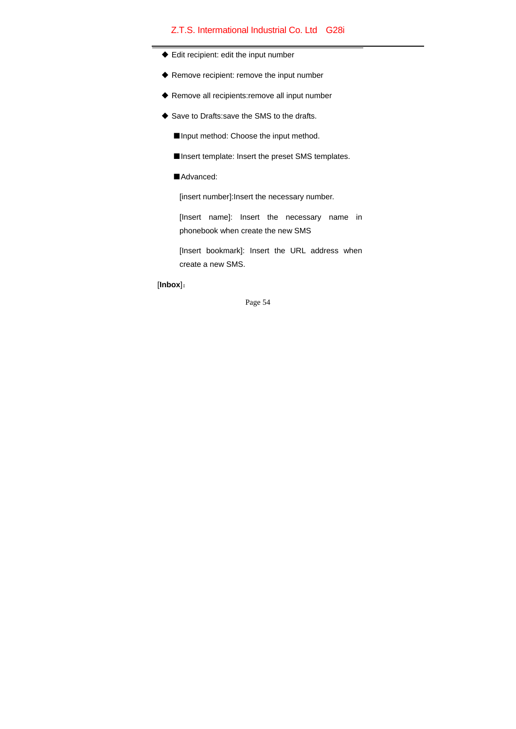- Edit recipient: edit the input number
- ◆ Remove recipient: remove the input number
- ◆ Remove all recipients:remove all input number
- ◆ Save to Drafts: save the SMS to the drafts.
	- ■Input method: Choose the input method.
	- ■Insert template: Insert the preset SMS templates.
	- ■Advanced:

[insert number]:Insert the necessary number.

[Insert name]: Insert the necessary name in phonebook when create the new SMS

[Insert bookmark]: Insert the URL address when create a new SMS.

## [**Inbox**]: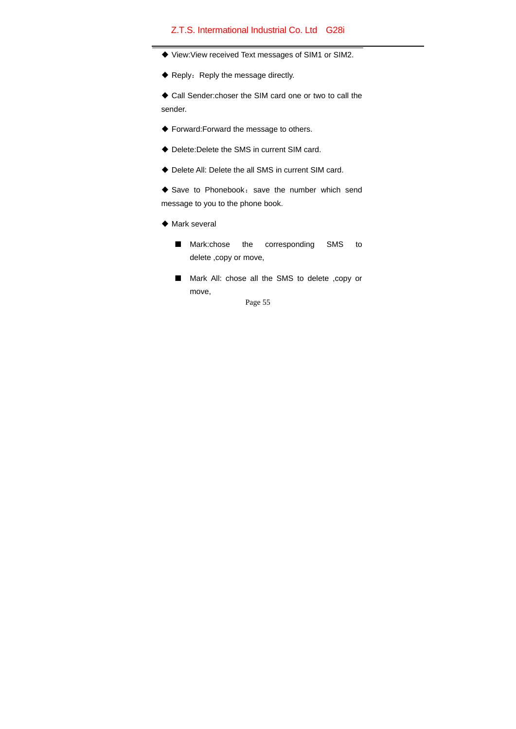- View:View received Text messages of SIM1 or SIM2.
- ◆ Reply: Reply the message directly.

 Call Sender:choser the SIM card one or two to call the sender.

- Forward:Forward the message to others.
- Delete:Delete the SMS in current SIM card.
- Delete All: Delete the all SMS in current SIM card.
- $\blacklozenge$  Save to Phonebook: save the number which send message to you to the phone book.
- $\blacklozenge$  Mark several
	- Mark:chose the corresponding SMS to delete ,copy or move,
	- Mark All: chose all the SMS to delete ,copy or move,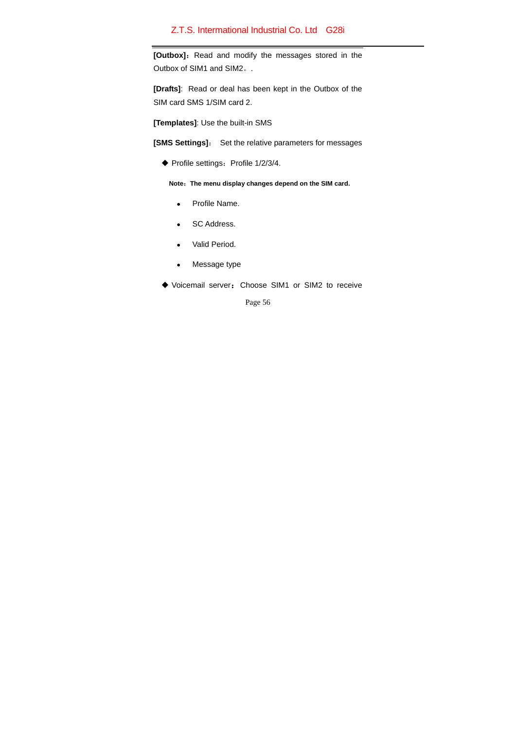**[Outbox]:** Read and modify the messages stored in the Outbox of SIM1 and SIM2。.

**[Drafts]**: Read or deal has been kept in the Outbox of the SIM card SMS 1/SIM card 2.

**[Templates]**: Use the built-in SMS

**[SMS Settings]**: Set the relative parameters for messages

 $\blacklozenge$  Profile settings: Profile 1/2/3/4.

**Note**:**The menu display changes depend on the SIM card.**

- Profile Name.
- SC Address.
- Valid Period.
- Message type
- Voicemail server:Choose SIM1 or SIM2 to receive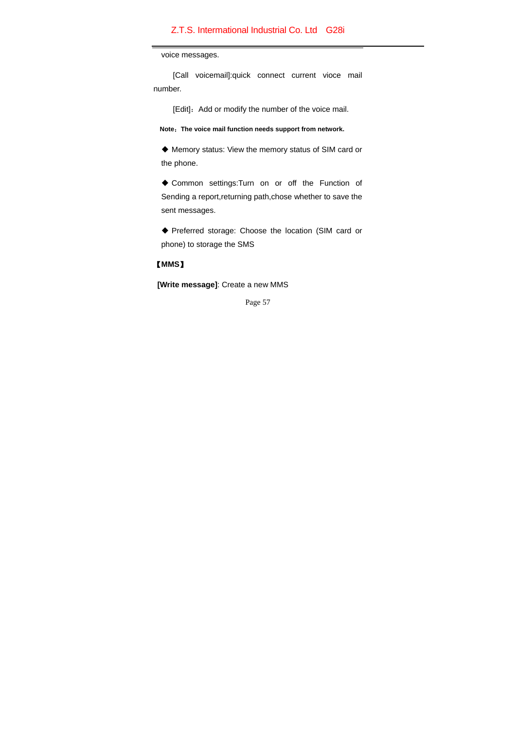voice messages.

 [Call voicemail]:quick connect current vioce mail number.

[Edit]: Add or modify the number of the voice mail.

**Note**:**The voice mail function needs support from network.** 

 Memory status: View the memory status of SIM card or the phone.

 Common settings:Turn on or off the Function of Sending a report, returning path, chose whether to save the sent messages.

 Preferred storage: Choose the location (SIM card or phone) to storage the SMS

# 【**MMS**】

**[Write message]**: Create a new MMS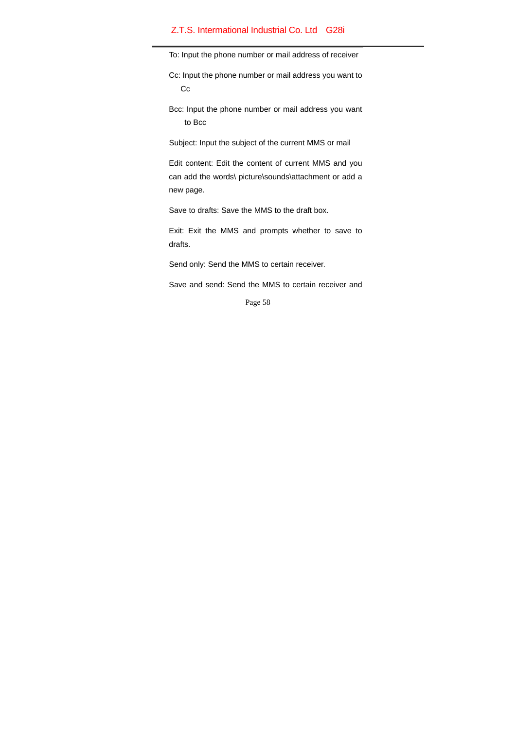To: Input the phone number or mail address of receiver

- Cc: Input the phone number or mail address you want to Cc
- Bcc: Input the phone number or mail address you want to Bcc

Subject: Input the subject of the current MMS or mail

 Edit content: Edit the content of current MMS and you can add the words\ picture\sounds\attachment or add a new page.

Save to drafts: Save the MMS to the draft box.

Exit: Exit the MMS and prompts whether to save to drafts.

Send only: Send the MMS to certain receiver.

Save and send: Send the MMS to certain receiver and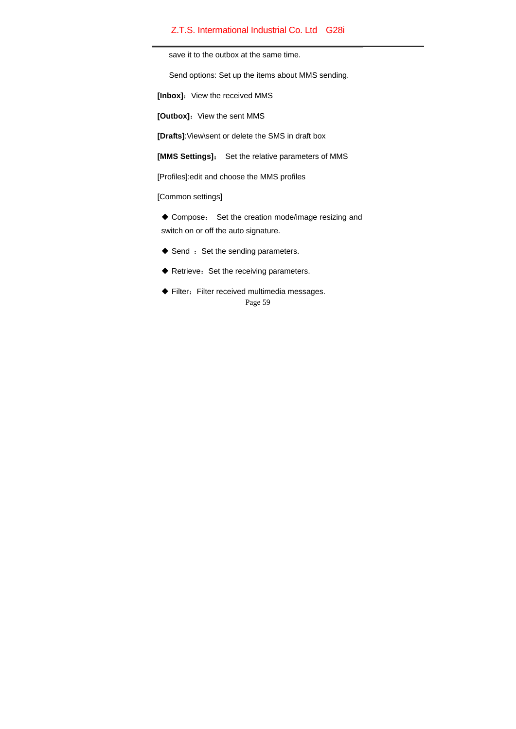save it to the outbox at the same time.

Send options: Set up the items about MMS sending.

[Inbox]: View the received MMS

**[Outbox]:** View the sent MMS

**[Drafts]**:View\sent or delete the SMS in draft box

**[MMS Settings]**: Set the relative parameters of MMS

[Profiles]:edit and choose the MMS profiles

[Common settings]

 Compose: Set the creation mode/image resizing and switch on or off the auto signature.

- $\blacklozenge$  Send  $:$  Set the sending parameters.
- $\blacklozenge$  Retrieve: Set the receiving parameters.
- Page 59  $\blacklozenge$  Filter: Filter received multimedia messages.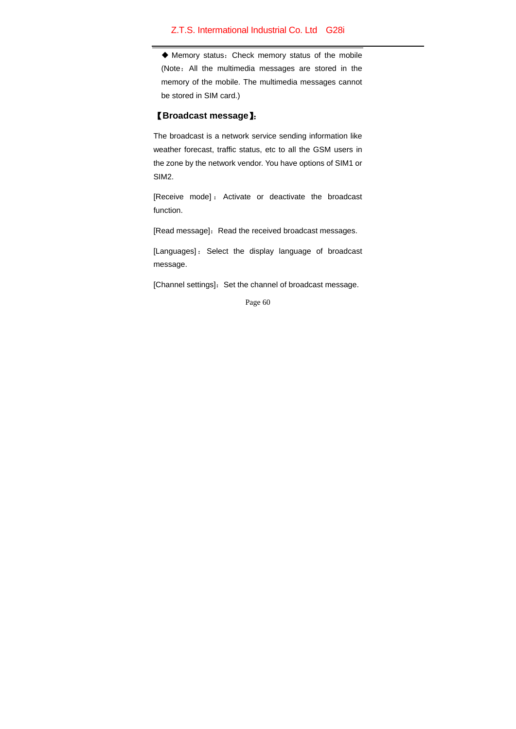Memory status:Check memory status of the mobile (Note:All the multimedia messages are stored in the memory of the mobile. The multimedia messages cannot be stored in SIM card.)

## 【**Broadcast message**】:

The broadcast is a network service sending information like weather forecast, traffic status, etc to all the GSM users in the zone by the network vendor. You have options of SIM1 or SIM2.

[Receive mode] : Activate or deactivate the broadcast function.

[Read message]: Read the received broadcast messages.

[Languages] : Select the display language of broadcast message.

[Channel settings]: Set the channel of broadcast message.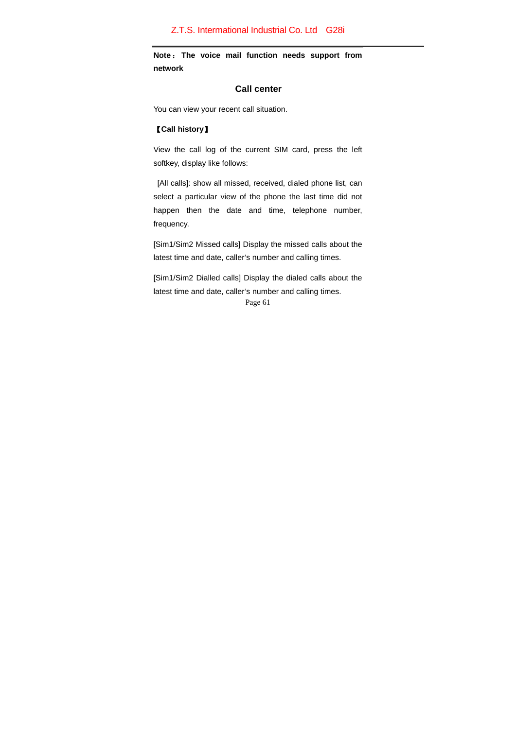**Note** : **The voice mail function needs support from network** 

## **Call center**

You can view your recent call situation.

# 【**Call history**】

View the call log of the current SIM card, press the left softkey, display like follows:

 [All calls]: show all missed, received, dialed phone list, can select a particular view of the phone the last time did not happen then the date and time, telephone number, frequency.

[Sim1/Sim2 Missed calls] Display the missed calls about the latest time and date, caller's number and calling times.

[Sim1/Sim2 Dialled calls] Display the dialed calls about the latest time and date, caller's number and calling times.

```
Page 61
```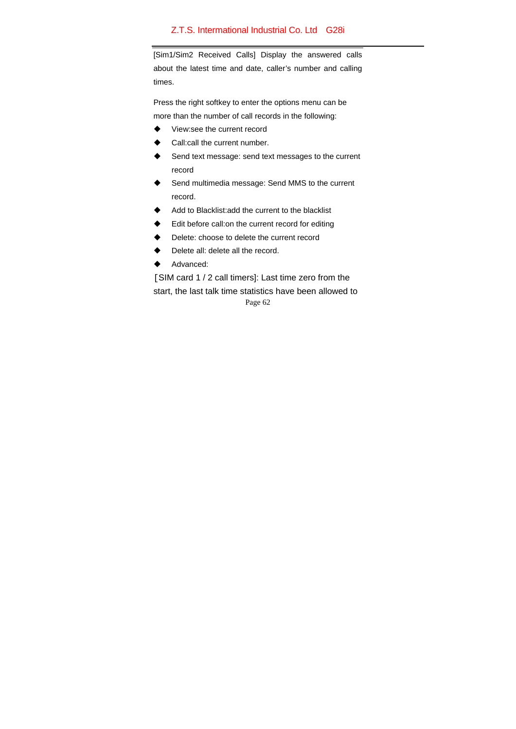[Sim1/Sim2 Received Calls] Display the answered calls about the latest time and date, caller's number and calling times.

Press the right softkey to enter the options menu can be more than the number of call records in the following:

- ◆ View:see the current record
- Call:call the current number.
- ♦ Send text message: send text messages to the current record
- Send multimedia message: Send MMS to the current record.
- Add to Blacklist:add the current to the blacklist
- Edit before call:on the current record for editing
- Delete: choose to delete the current record
- Delete all: delete all the record.
- ◆ Advanced:

Page 62 [SIM card 1 / 2 call timers]: Last time zero from the start, the last talk time statistics have been allowed to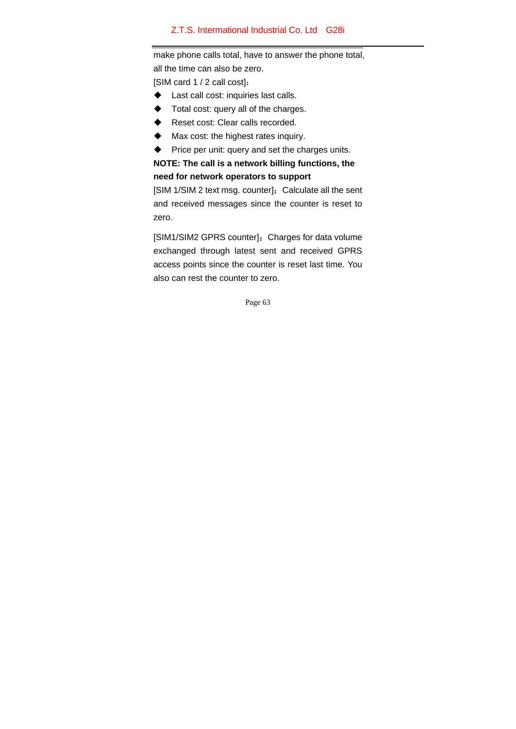make phone calls total, have to answer the phone total, all the time can also be zero.

[SIM card 1 / 2 call cost]:

- Last call cost: inquiries last calls.
- Total cost: query all of the charges.
- Reset cost: Clear calls recorded.
- $\blacklozenge$  Max cost: the highest rates inquiry.
- $\blacklozenge$  Price per unit: query and set the charges units.

**NOTE: The call is a network billing functions, the need for network operators to support** 

[SIM 1/SIM 2 text msg. counter]: Calculate all the sent and received messages since the counter is reset to zero.

[SIM1/SIM2 GPRS counter]: Charges for data volume exchanged through latest sent and received GPRS access points since the counter is reset last time. You also can rest the counter to zero.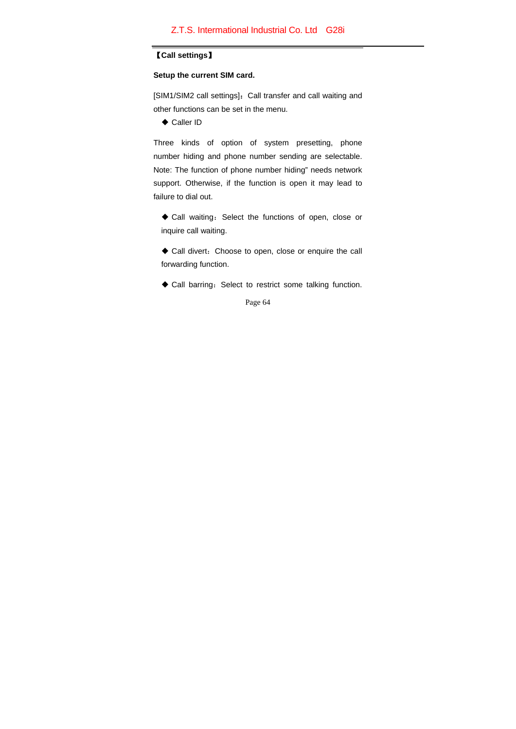#### 【**Call settings**】

## **Setup the current SIM card.**

[SIM1/SIM2 call settings]: Call transfer and call waiting and other functions can be set in the menu.

◆ Caller ID

Three kinds of option of system presetting, phone number hiding and phone number sending are selectable. Note: The function of phone number hiding" needs network support. Otherwise, if the function is open it may lead to failure to dial out.

◆ Call waiting: Select the functions of open, close or inquire call waiting.

 Call divert:Choose to open, close or enquire the call forwarding function.

 $\blacklozenge$  Call barring: Select to restrict some talking function.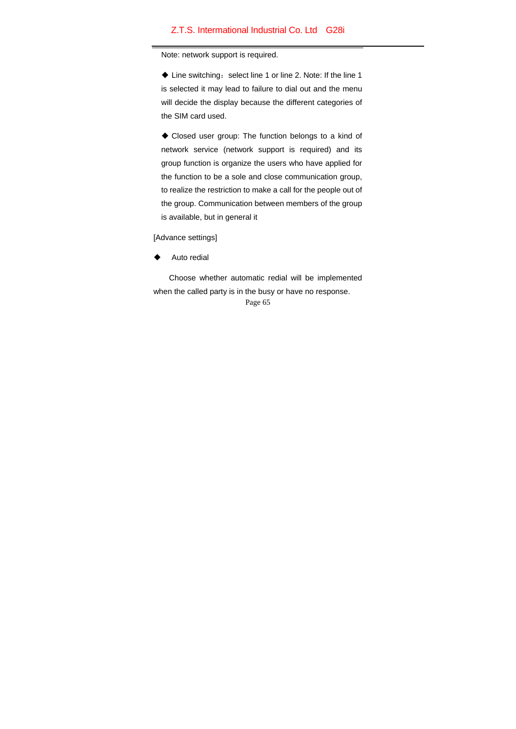Note: network support is required.

 $\blacklozenge$  Line switching: select line 1 or line 2. Note: If the line 1 is selected it may lead to failure to dial out and the menu will decide the display because the different categories of the SIM card used.

 Closed user group: The function belongs to a kind of network service (network support is required) and its group function is organize the users who have applied for the function to be a sole and close communication group, to realize the restriction to make a call for the people out of the group. Communication between members of the group is available, but in general it

[Advance settings]

Auto redial

Choose whether automatic redial will be implemented when the called party is in the busy or have no response.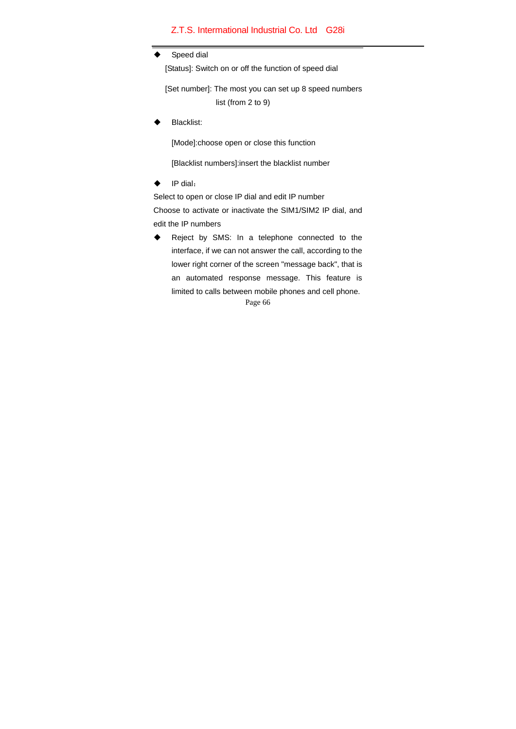#### Speed dial

[Status]: Switch on or off the function of speed dial

[Set number]: The most you can set up 8 speed numbers list (from 2 to 9)

Blacklist:

[Mode]:choose open or close this function

[Blacklist numbers]:insert the blacklist number

 $\blacklozenge$  IP dial:

Select to open or close IP dial and edit IP number Choose to activate or inactivate the SIM1/SIM2 IP dial, and edit the IP numbers

Page 66 ◆ Reject by SMS: In a telephone connected to the interface, if we can not answer the call, according to the lower right corner of the screen "message back", that is an automated response message. This feature is limited to calls between mobile phones and cell phone.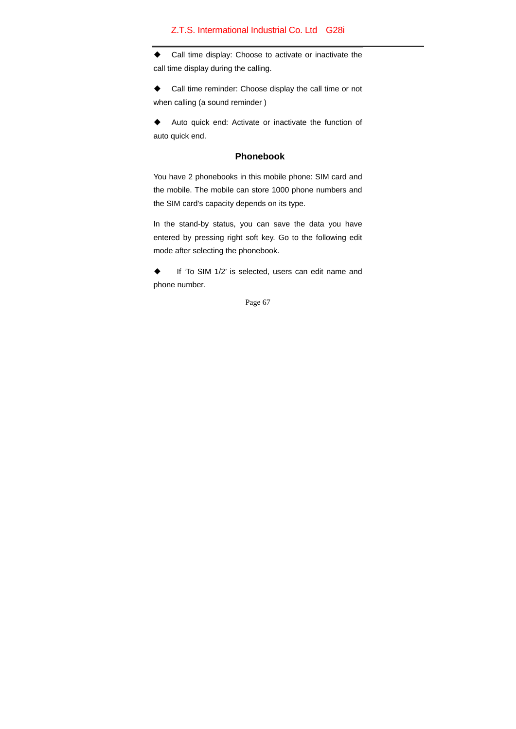Call time display: Choose to activate or inactivate the call time display during the calling.

 Call time reminder: Choose display the call time or not when calling (a sound reminder )

 Auto quick end: Activate or inactivate the function of auto quick end.

# **Phonebook**

You have 2 phonebooks in this mobile phone: SIM card and the mobile. The mobile can store 1000 phone numbers and the SIM card's capacity depends on its type.

In the stand-by status, you can save the data you have entered by pressing right soft key. Go to the following edit mode after selecting the phonebook.

◆ If 'To SIM 1/2' is selected, users can edit name and phone number.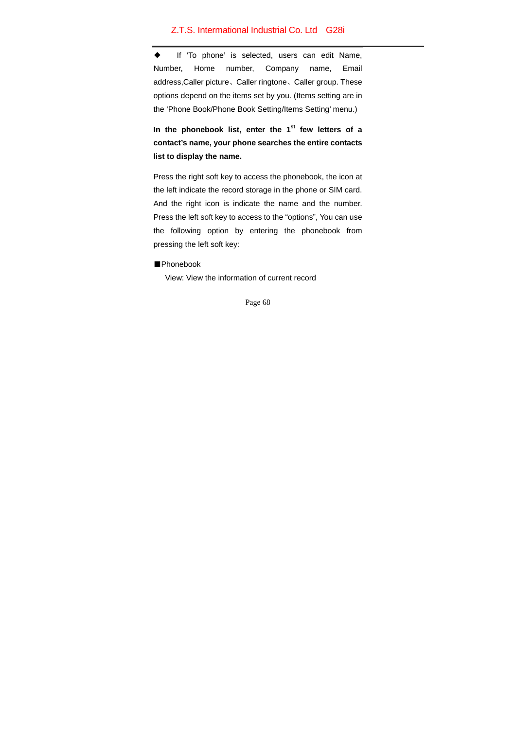◆ If 'To phone' is selected, users can edit Name, Number, Home number, Company name, Email address,Caller picture、Caller ringtone、Caller group. These options depend on the items set by you. (Items setting are in the 'Phone Book/Phone Book Setting/Items Setting' menu.)

In the phonebook list, enter the 1<sup>st</sup> few letters of a **contact's name, your phone searches the entire contacts list to display the name.** 

Press the right soft key to access the phonebook, the icon at the left indicate the record storage in the phone or SIM card. And the right icon is indicate the name and the number. Press the left soft key to access to the "options", You can use the following option by entering the phonebook from pressing the left soft key:

#### ■Phonebook

View: View the information of current record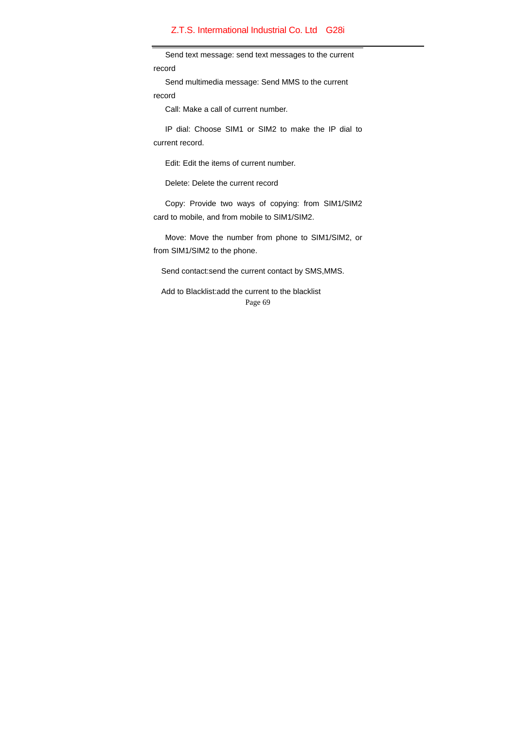Send text message: send text messages to the current record

Send multimedia message: Send MMS to the current record

Call: Make a call of current number.

 IP dial: Choose SIM1 or SIM2 to make the IP dial to current record.

Edit: Edit the items of current number.

Delete: Delete the current record

 Copy: Provide two ways of copying: from SIM1/SIM2 card to mobile, and from mobile to SIM1/SIM2.

 Move: Move the number from phone to SIM1/SIM2, or from SIM1/SIM2 to the phone.

Send contact:send the current contact by SMS,MMS.

Page 69 Add to Blacklist:add the current to the blacklist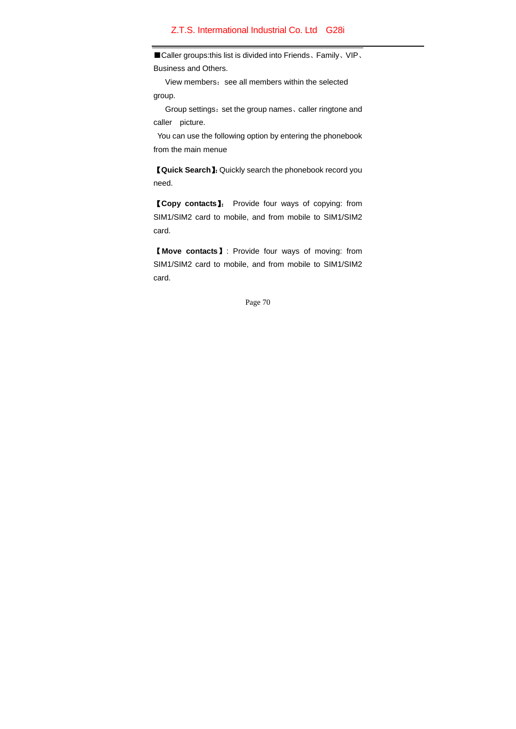■Caller groups:this list is divided into Friends、Family、VIP、 Business and Others.

View members: see all members within the selected group.

Group settings: set the group names, caller ringtone and caller picture.

 You can use the following option by entering the phonebook from the main menue

【**Quick Search**】:Quickly search the phonebook record you need.

【**Copy contacts**】: Provide four ways of copying: from SIM1/SIM2 card to mobile, and from mobile to SIM1/SIM2 card.

【**Move contacts**】: Provide four ways of moving: from SIM1/SIM2 card to mobile, and from mobile to SIM1/SIM2 card.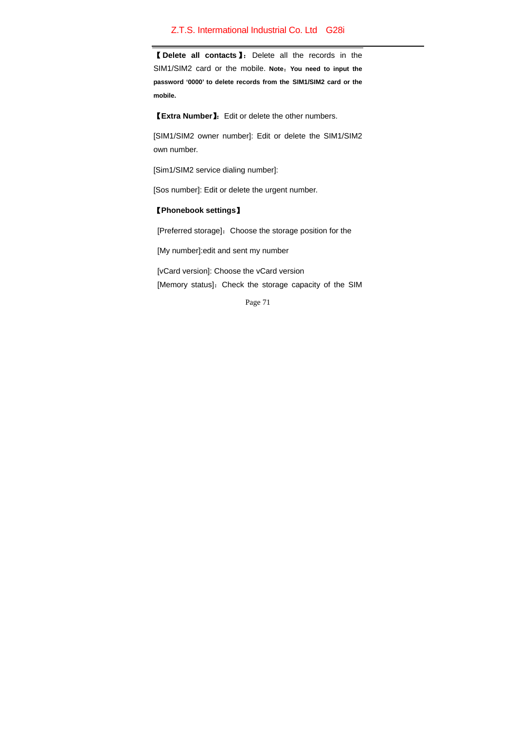【 **Delete all contacts**】: Delete all the records in the SIM1/SIM2 card or the mobile. **Note**:**You need to input the password '0000' to delete records from the SIM1/SIM2 card or the mobile.**

【**Extra Number**】:Edit or delete the other numbers.

[SIM1/SIM2 owner number]: Edit or delete the SIM1/SIM2 own number.

[Sim1/SIM2 service dialing number]:

[Sos number]: Edit or delete the urgent number.

## 【**Phonebook settings**】

[Preferred storage]: Choose the storage position for the

[My number]:edit and sent my number

 [vCard version]: Choose the vCard version [Memory status]: Check the storage capacity of the SIM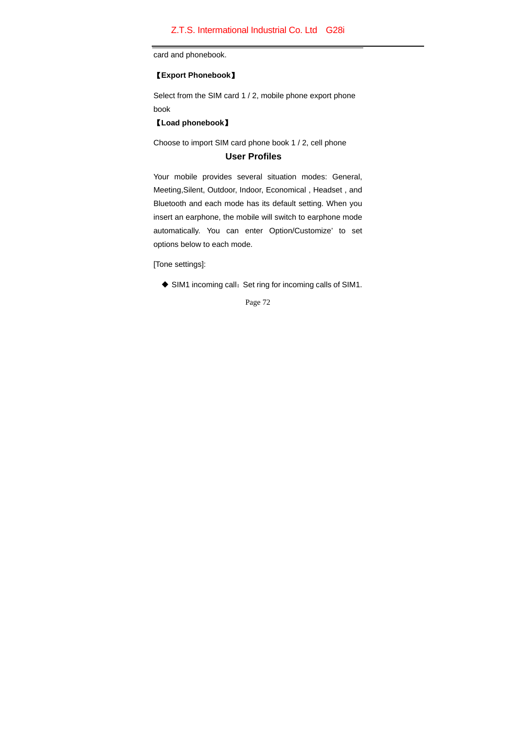card and phonebook.

## 【**Export Phonebook**】

Select from the SIM card 1 / 2, mobile phone export phone book

【**Load phonebook**】

Choose to import SIM card phone book 1 / 2, cell phone

# **User Profiles**

Your mobile provides several situation modes: General, Meeting,Silent, Outdoor, Indoor, Economical , Headset , and Bluetooth and each mode has its default setting. When you insert an earphone, the mobile will switch to earphone mode automatically. You can enter Option/Customize' to set options below to each mode.

[Tone settings]:

◆ SIM1 incoming call: Set ring for incoming calls of SIM1.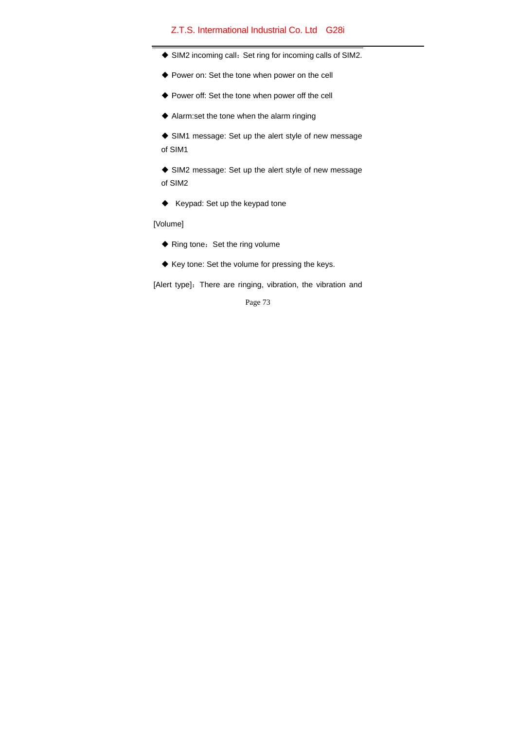- ◆ SIM2 incoming call: Set ring for incoming calls of SIM2.
- Power on: Set the tone when power on the cell
- Power off: Set the tone when power off the cell
- Alarm:set the tone when the alarm ringing

 SIM1 message: Set up the alert style of new message of SIM1

 SIM2 message: Set up the alert style of new message of SIM2

 $\blacklozenge$  Keypad: Set up the keypad tone

[Volume]

- ◆ Ring tone: Set the ring volume
- ◆ Key tone: Set the volume for pressing the keys.

[Alert type]: There are ringing, vibration, the vibration and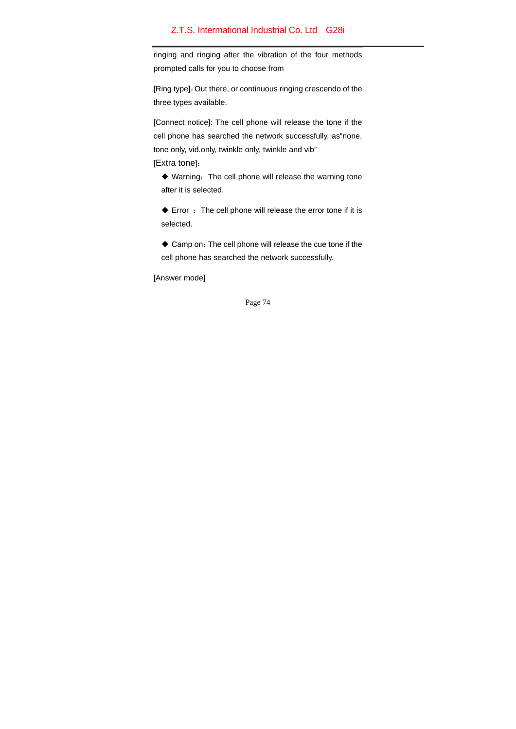ringing and ringing after the vibration of the four methods prompted calls for you to choose from

[Ring type]:Out there, or continuous ringing crescendo of the three types available.

[Connect notice]: The cell phone will release the tone if the cell phone has searched the network successfully, as"none, tone only, vid.only, twinkle only, twinkle and vib" [Extra tone]:

 $\blacklozenge$  Warning: The cell phone will release the warning tone after it is selected.

 $\blacklozenge$  Error : The cell phone will release the error tone if it is selected.

 Camp on:The cell phone will release the cue tone if the cell phone has searched the network successfully.

[Answer mode]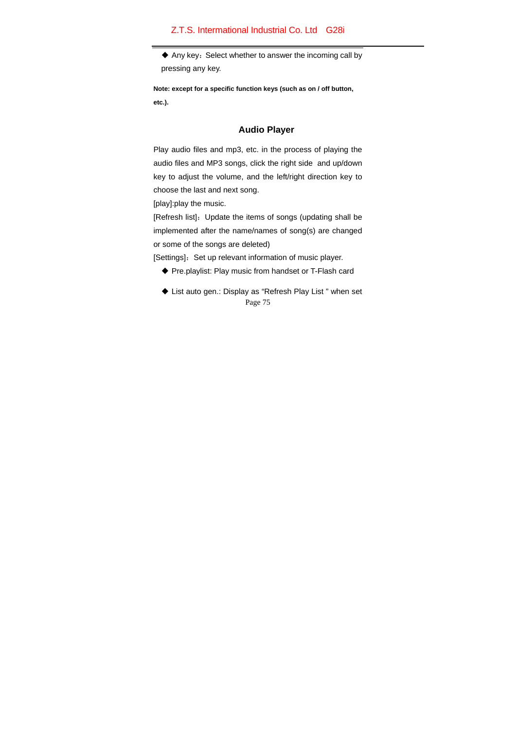$\blacklozenge$  Any key: Select whether to answer the incoming call by pressing any key.

**Note: except for a specific function keys (such as on / off button, etc.).**

## **Audio Player**

Play audio files and mp3, etc. in the process of playing the audio files and MP3 songs, click the right side and up/down key to adjust the volume, and the left/right direction key to choose the last and next song.

[play]:play the music.

[Refresh list]: Update the items of songs (updating shall be implemented after the name/names of song(s) are changed or some of the songs are deleted)

[Settings]: Set up relevant information of music player.

- Pre.playlist: Play music from handset or T-Flash card
- Page 75 ◆ List auto gen.: Display as "Refresh Play List " when set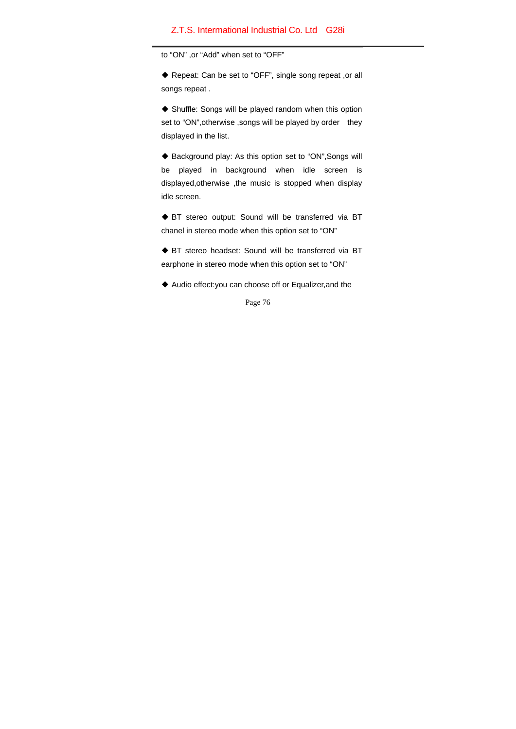to "ON" ,or "Add" when set to "OFF"

◆ Repeat: Can be set to "OFF", single song repeat ,or all songs repeat .

 Shuffle: Songs will be played random when this option set to "ON", otherwise , songs will be played by order they displayed in the list.

◆ Background play: As this option set to "ON", Songs will be played in background when idle screen is displayed,otherwise ,the music is stopped when display idle screen.

◆ BT stereo output: Sound will be transferred via BT chanel in stereo mode when this option set to "ON"

 BT stereo headset: Sound will be transferred via BT earphone in stereo mode when this option set to "ON"

Audio effect:you can choose off or Equalizer,and the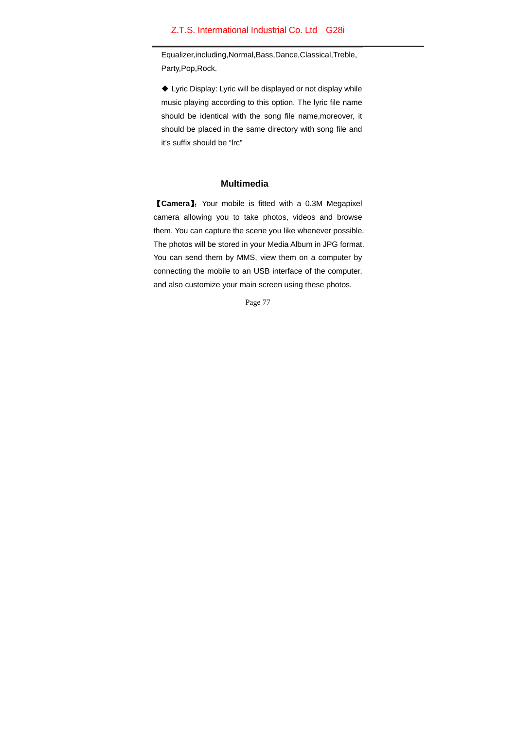Equalizer,including,Normal,Bass,Dance,Classical,Treble, Party,Pop,Rock.

 Lyric Display: Lyric will be displayed or not display while music playing according to this option. The lyric file name should be identical with the song file name,moreover, it should be placed in the same directory with song file and it's suffix should be "lrc"

#### **Multimedia**

【**Camera**】:Your mobile is fitted with a 0.3M Megapixel camera allowing you to take photos, videos and browse them. You can capture the scene you like whenever possible. The photos will be stored in your Media Album in JPG format. You can send them by MMS, view them on a computer by connecting the mobile to an USB interface of the computer, and also customize your main screen using these photos.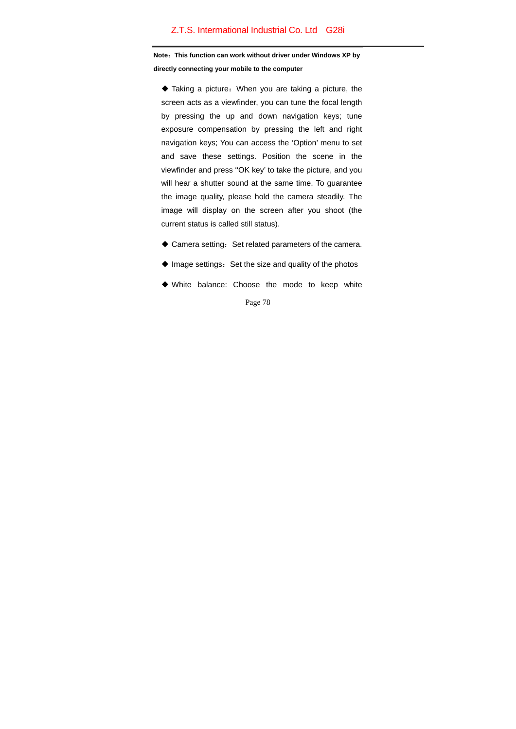**Note**:**This function can work without driver under Windows XP by directly connecting your mobile to the computer**

 Taking a picture:When you are taking a picture, the screen acts as a viewfinder, you can tune the focal length by pressing the up and down navigation keys; tune exposure compensation by pressing the left and right navigation keys; You can access the 'Option' menu to set and save these settings. Position the scene in the viewfinder and press ''OK key' to take the picture, and you will hear a shutter sound at the same time. To guarantee the image quality, please hold the camera steadily. The image will display on the screen after you shoot (the current status is called still status).

- $\triangle$  Camera setting: Set related parameters of the camera.
- $\blacklozenge$  Image settings: Set the size and quality of the photos
- White balance: Choose the mode to keep white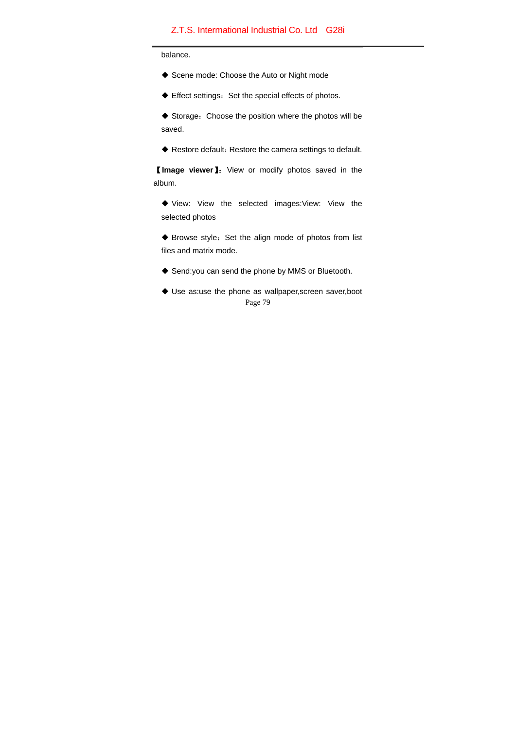balance.

- ◆ Scene mode: Choose the Auto or Night mode
- $\blacklozenge$  Effect settings: Set the special effects of photos.

◆ Storage: Choose the position where the photos will be saved.

◆ Restore default: Restore the camera settings to default.

【**Image viewer**】:View or modify photos saved in the album.

 View: View the selected images:View: View the selected photos

◆ Browse style: Set the align mode of photos from list files and matrix mode.

- ◆ Send:you can send the phone by MMS or Bluetooth.
- Page 79 Use as:use the phone as wallpaper,screen saver,boot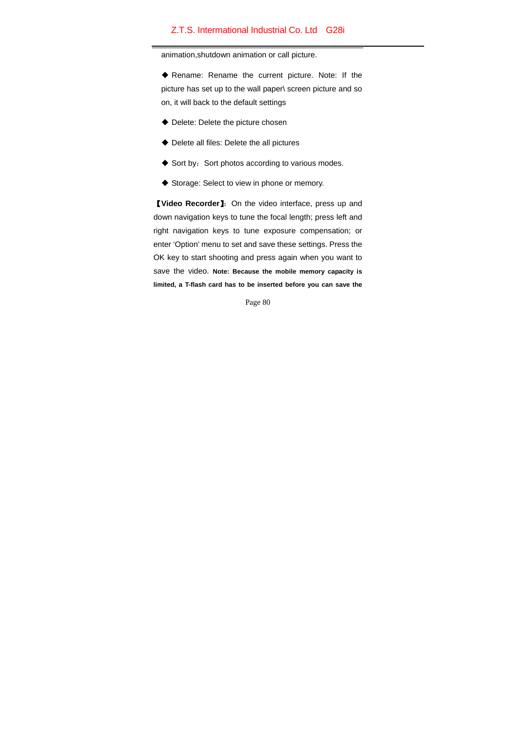animation,shutdown animation or call picture.

 Rename: Rename the current picture. Note: If the picture has set up to the wall paper\ screen picture and so on, it will back to the default settings

- Delete: Delete the picture chosen
- ◆ Delete all files: Delete the all pictures
- $\blacklozenge$  Sort by: Sort photos according to various modes.
- Storage: Select to view in phone or memory.

【**Video Recorder**】:On the video interface, press up and down navigation keys to tune the focal length; press left and right navigation keys to tune exposure compensation; or enter 'Option' menu to set and save these settings. Press the OK key to start shooting and press again when you want to save the video. **Note: Because the mobile memory capacity is limited, a T-flash card has to be inserted before you can save the**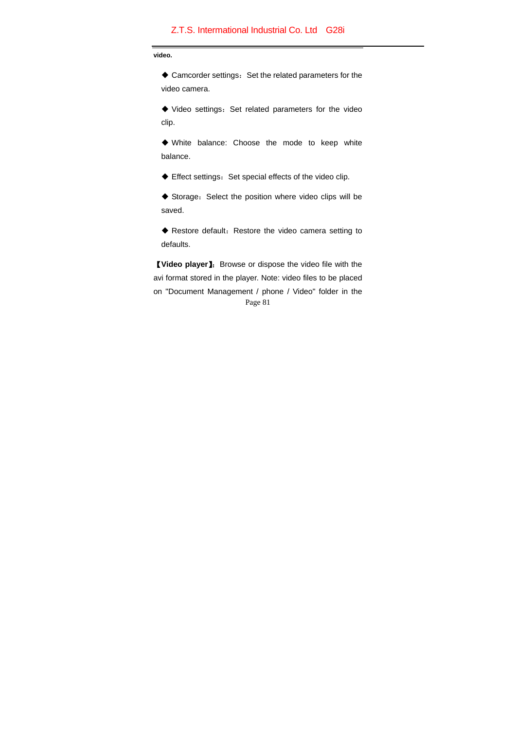**video.** 

◆ Camcorder settings: Set the related parameters for the video camera.

 $\blacklozenge$  Video settings: Set related parameters for the video clip.

 White balance: Choose the mode to keep white balance.

 $\blacklozenge$  Effect settings: Set special effects of the video clip.

 Storage:Select the position where video clips will be saved.

 Restore default:Restore the video camera setting to defaults.

Page 81 【**Video player**】:Browse or dispose the video file with the avi format stored in the player. Note: video files to be placed on "Document Management / phone / Video" folder in the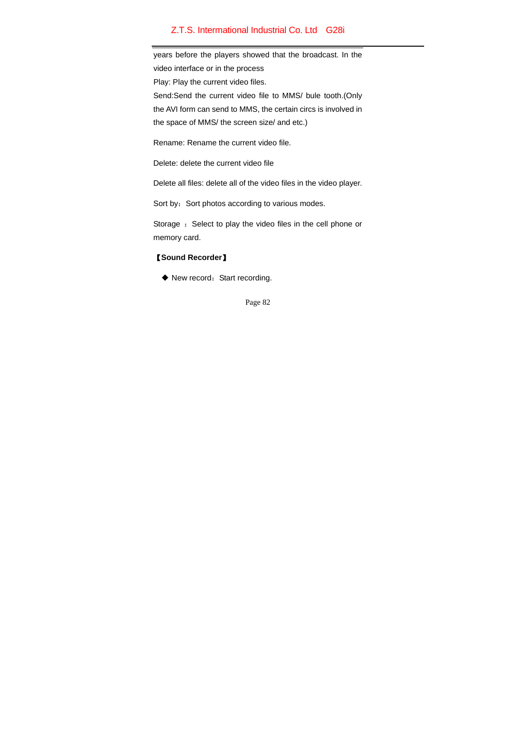years before the players showed that the broadcast. In the video interface or in the process Play: Play the current video files. Send:Send the current video file to MMS/ bule tooth.(Only the AVI form can send to MMS, the certain circs is involved in the space of MMS/ the screen size/ and etc.)

Rename: Rename the current video file.

Delete: delete the current video file

Delete all files: delete all of the video files in the video player.

Sort by: Sort photos according to various modes.

Storage : Select to play the video files in the cell phone or memory card.

#### 【**Sound Recorder**】

◆ New record: Start recording.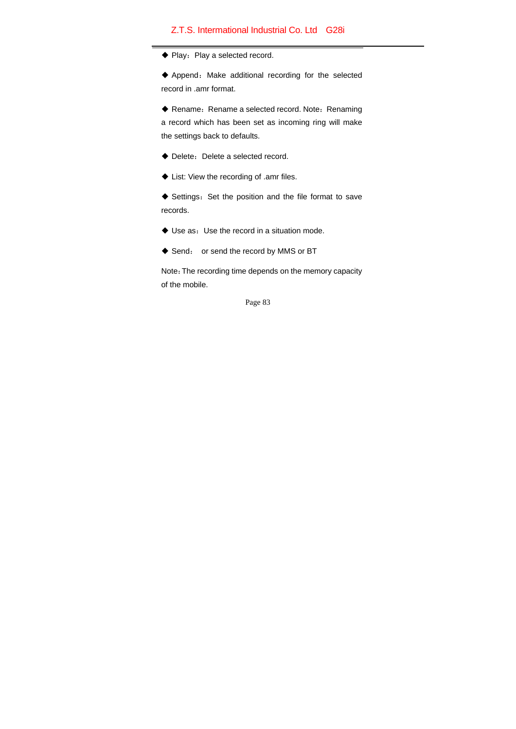$\blacklozenge$  Play: Play a selected record.

 Append:Make additional recording for the selected record in .amr format.

◆ Rename: Rename a selected record. Note: Renaming a record which has been set as incoming ring will make the settings back to defaults.

- ◆ Delete: Delete a selected record.
- ◆ List: View the recording of .amr files.

◆ Settings: Set the position and the file format to save records.

- Use as:Use the record in a situation mode.
- ◆ Send: or send the record by MMS or BT

Note:The recording time depends on the memory capacity of the mobile.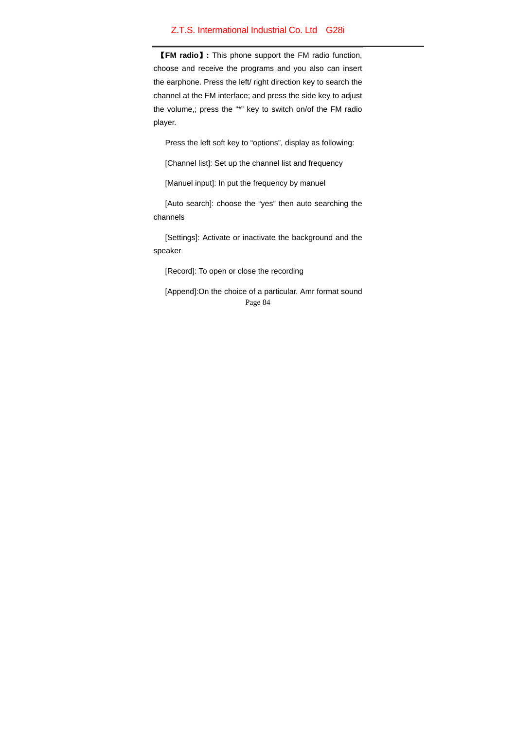【**FM radio**】**:** This phone support the FM radio function, choose and receive the programs and you also can insert the earphone. Press the left/ right direction key to search the channel at the FM interface; and press the side key to adjust the volume,; press the "\*" key to switch on/of the FM radio player.

Press the left soft key to "options", display as following:

[Channel list]: Set up the channel list and frequency

[Manuel input]: In put the frequency by manuel

[Auto search]: choose the "yes" then auto searching the channels

[Settings]: Activate or inactivate the background and the speaker

[Record]: To open or close the recording

Page 84 [Append]:On the choice of a particular. Amr format sound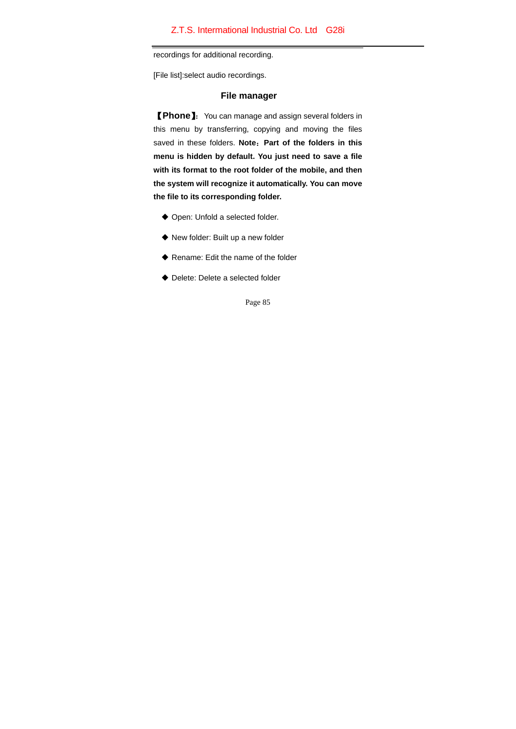recordings for additional recording.

[File list]:select audio recordings.

### **File manager**

【**Phone**】:You can manage and assign several folders in this menu by transferring, copying and moving the files saved in these folders. **Note**:**Part of the folders in this menu is hidden by default. You just need to save a file with its format to the root folder of the mobile, and then the system will recognize it automatically. You can move the file to its corresponding folder.** 

- Open: Unfold a selected folder.
- ◆ New folder: Built up a new folder
- ◆ Rename: Edit the name of the folder
- ◆ Delete: Delete a selected folder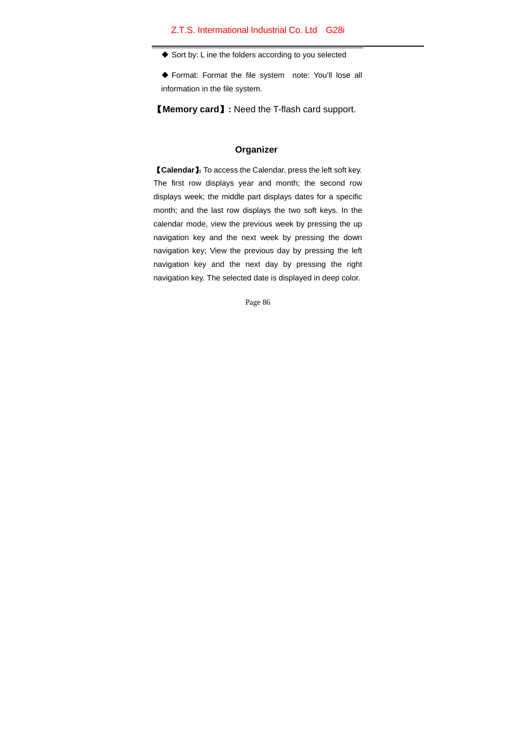◆ Sort by: L ine the folders according to you selected

 Format: Format the file system note: You'll lose all information in the file system.

【**Memory card**】**:** Need the T-flash card support.

### **Organizer**

【**Calendar**】:To access the Calendar, press the left soft key. The first row displays year and month; the second row displays week; the middle part displays dates for a specific month; and the last row displays the two soft keys. In the calendar mode, view the previous week by pressing the up navigation key and the next week by pressing the down navigation key; View the previous day by pressing the left navigation key and the next day by pressing the right navigation key. The selected date is displayed in deep color.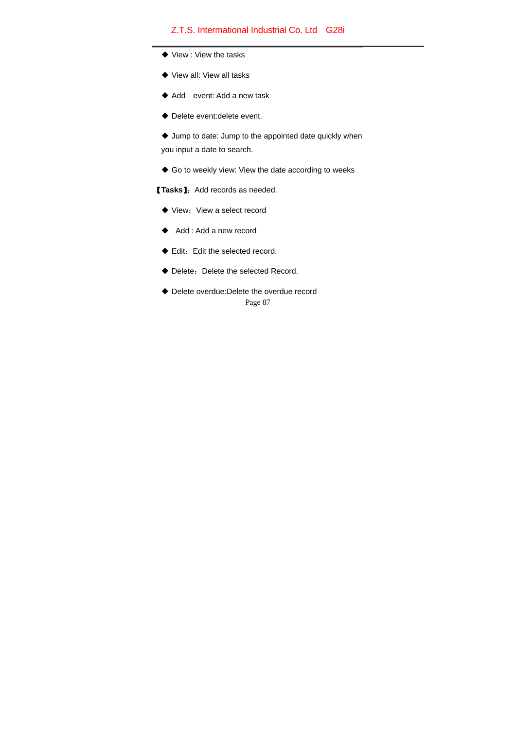- ◆ View : View the tasks
- ◆ View all: View all tasks
- ◆ Add event: Add a new task
- Delete event:delete event.

 Jump to date: Jump to the appointed date quickly when you input a date to search.

Go to weekly view: View the date according to weeks

【**Tasks**】:Add records as needed.

- $\blacklozenge$  View: View a select record
- ◆ Add : Add a new record
- $\blacklozenge$  Edit: Edit the selected record.
- ◆ Delete: Delete the selected Record.
- Page 87 ◆ Delete overdue:Delete the overdue record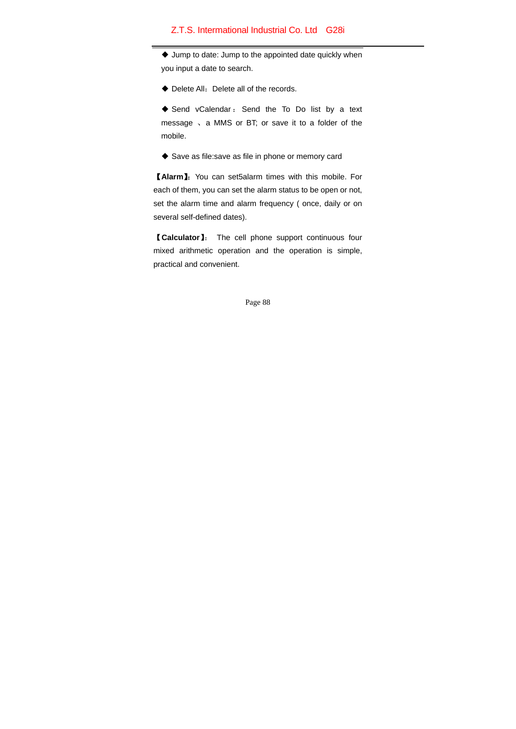Jump to date: Jump to the appointed date quickly when you input a date to search.

◆ Delete All: Delete all of the records.

◆ Send vCalendar: Send the To Do list by a text message 、a MMS or BT; or save it to a folder of the mobile.

◆ Save as file:save as file in phone or memory card

【**Alarm**】:You can set5alarm times with this mobile. For each of them, you can set the alarm status to be open or not, set the alarm time and alarm frequency ( once, daily or on several self-defined dates).

【**Calculator**】: The cell phone support continuous four mixed arithmetic operation and the operation is simple, practical and convenient.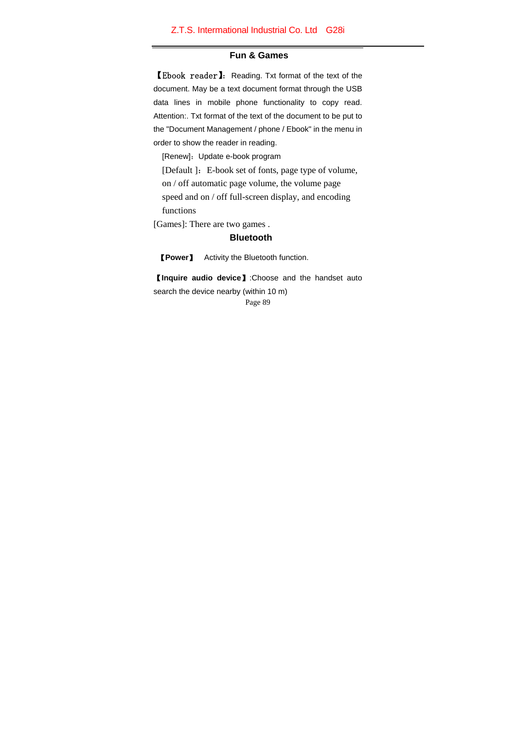### **Fun & Games**

【Ebook reader】:Reading. Txt format of the text of the document. May be a text document format through the USB data lines in mobile phone functionality to copy read. Attention:. Txt format of the text of the document to be put to the "Document Management / phone / Ebook" in the menu in order to show the reader in reading.

[Renew]: Update e-book program

[Default ]: E-book set of fonts, page type of volume, on / off automatic page volume, the volume page speed and on / off full-screen display, and encoding functions

[Games]: There are two games .

#### **Bluetooth**

【**Power**】 Activity the Bluetooth function.

Page 89 【**Inquire audio device**】:Choose and the handset auto search the device nearby (within 10 m)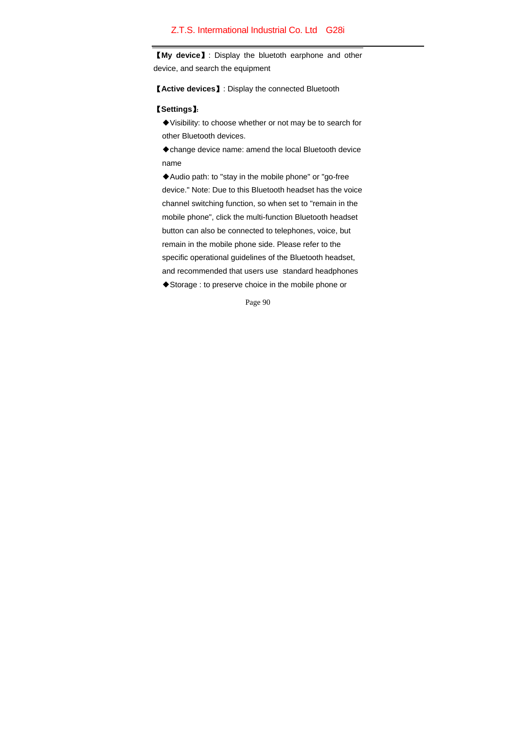【**My device**】: Display the bluetoth earphone and other device, and search the equipment

【**Active devices**】: Display the connected Bluetooth

### 【**Settings**】:

◆Visibility: to choose whether or not may be to search for other Bluetooth devices.

◆change device name: amend the local Bluetooth device name

◆Audio path: to "stay in the mobile phone" or "go-free device." Note: Due to this Bluetooth headset has the voice channel switching function, so when set to "remain in the mobile phone", click the multi-function Bluetooth headset button can also be connected to telephones, voice, but remain in the mobile phone side. Please refer to the specific operational guidelines of the Bluetooth headset, and recommended that users use standard headphones ◆Storage : to preserve choice in the mobile phone or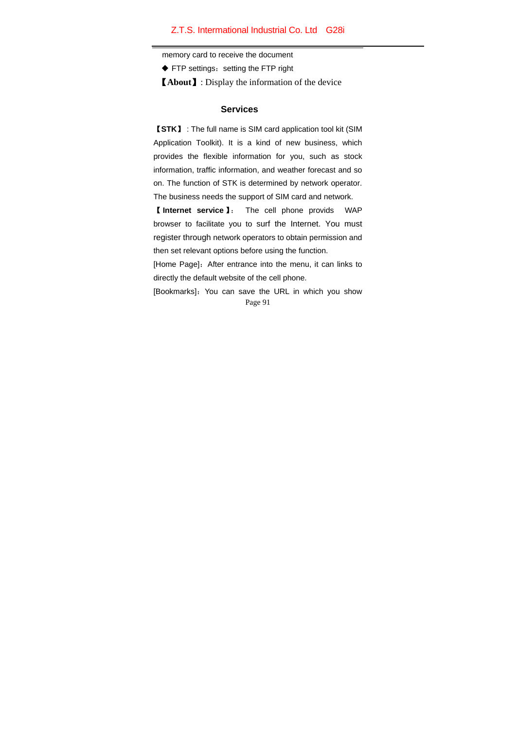memory card to receive the document

◆ FTP settings: setting the FTP right

【**About**】: Display the information of the device

#### **Services**

【**STK**】 : The full name is SIM card application tool kit (SIM Application Toolkit). It is a kind of new business, which provides the flexible information for you, such as stock information, traffic information, and weather forecast and so on. The function of STK is determined by network operator. The business needs the support of SIM card and network.

【 **Internet service** 】: The cell phone provids WAP browser to facilitate you to surf the Internet. You must register through network operators to obtain permission and then set relevant options before using the function.

[Home Page]: After entrance into the menu, it can links to directly the default website of the cell phone.

Page 91 [Bookmarks]: You can save the URL in which you show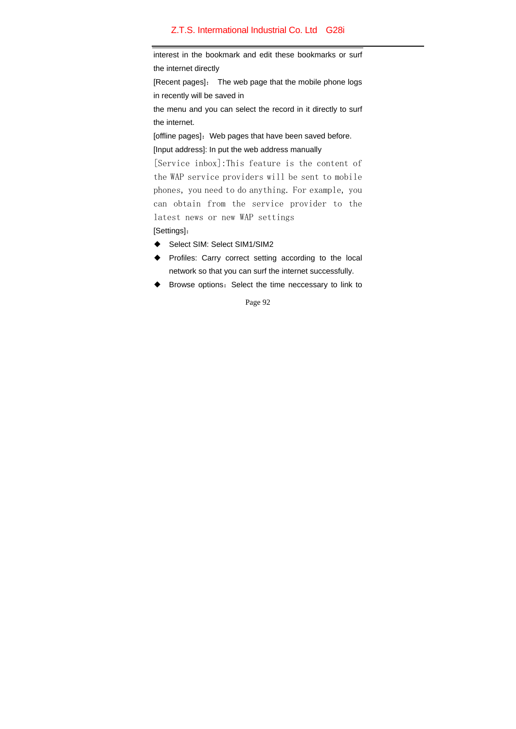interest in the bookmark and edit these bookmarks or surf the internet directly

[Recent pages]: The web page that the mobile phone logs in recently will be saved in

the menu and you can select the record in it directly to surf the internet.

[offline pages]: Web pages that have been saved before. [Input address]: In put the web address manually

[Service inbox]:This feature is the content of the WAP service providers will be sent to mobile phones, you need to do anything. For example, you can obtain from the service provider to the latest news or new WAP settings [Settings]:

- ◆ Select SIM: Select SIM1/SIM2
- ◆ Profiles: Carry correct setting according to the local network so that you can surf the internet successfully.
- ◆ Browse options: Select the time neccessary to link to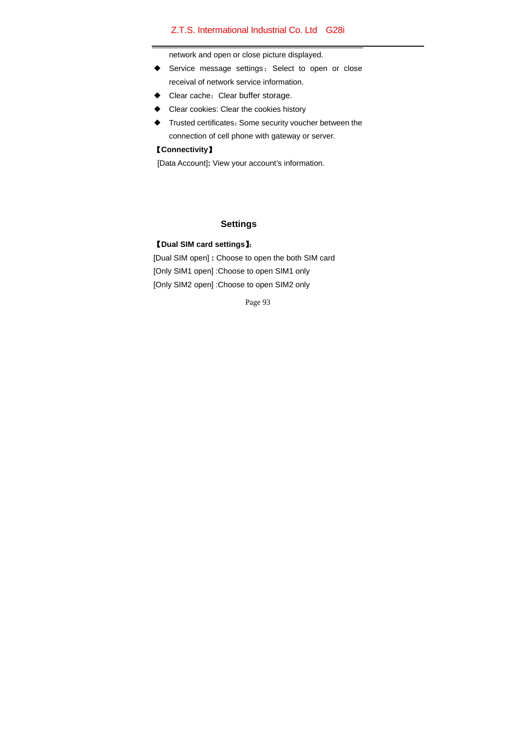network and open or close picture displayed.

- ◆ Service message settings: Select to open or close receival of network service information.
- ▶ Clear cache: Clear buffer storage.
- ◆ Clear cookies: Clear the cookies history
- ◆ Trusted certificates:Some security voucher between the connection of cell phone with gateway or server.

## 【**Connectivity**】

[Data Account]**:** View your account's information.

## **Settings**

## 【**Dual SIM card settings**】:

[Dual SIM open] **:** Choose to open the both SIM card [Only SIM1 open] : Choose to open SIM1 only [Only SIM2 open] :Choose to open SIM2 only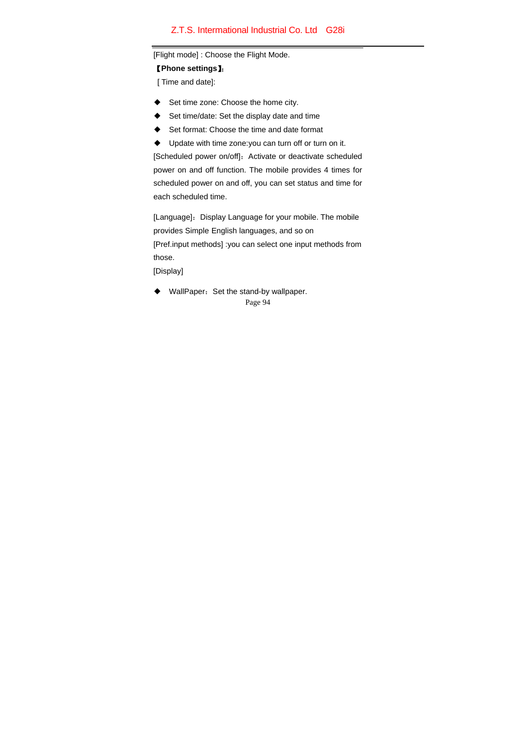#### [Flight mode] : Choose the Flight Mode.

【**Phone settings**】:

[ Time and date]:

- ◆ Set time zone: Choose the home city.
- ◆ Set time/date: Set the display date and time
- ◆ Set format: Choose the time and date format
- ◆ Update with time zone:you can turn off or turn on it.

[Scheduled power on/off]: Activate or deactivate scheduled power on and off function. The mobile provides 4 times for scheduled power on and off, you can set status and time for each scheduled time.

[Language]: Display Language for your mobile. The mobile provides Simple English languages, and so on [Pref.input methods] :you can select one input methods from those.

[Display]

Page 94 ◆ WallPaper: Set the stand-by wallpaper.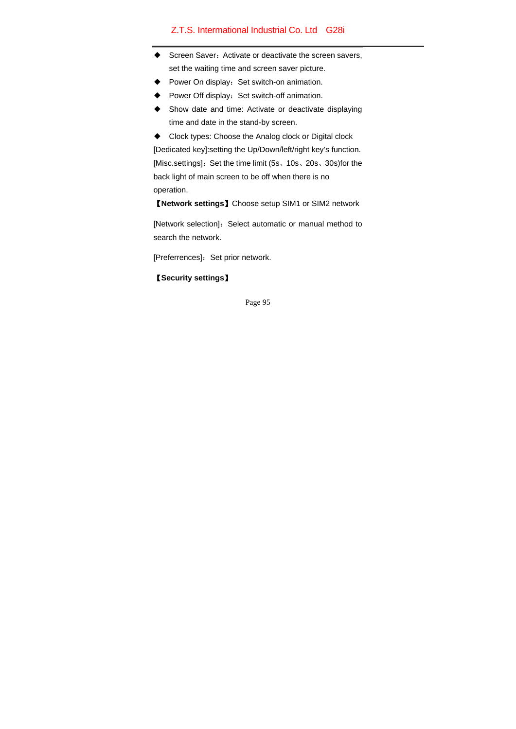- ◆ Screen Saver: Activate or deactivate the screen savers, set the waiting time and screen saver picture.
- ◆ Power On display: Set switch-on animation.
- Power Off display: Set switch-off animation.
- ◆ Show date and time: Activate or deactivate displaying time and date in the stand-by screen.
- ◆ Clock types: Choose the Analog clock or Digital clock

[Dedicated key]:setting the Up/Down/left/right key's function. [Misc.settings]: Set the time limit (5s, 10s, 20s, 30s)for the back light of main screen to be off when there is no operation.

【**Network settings**】Choose setup SIM1 or SIM2 network

[Network selection]: Select automatic or manual method to search the network.

[Preferrences]: Set prior network.

### 【**Security settings**】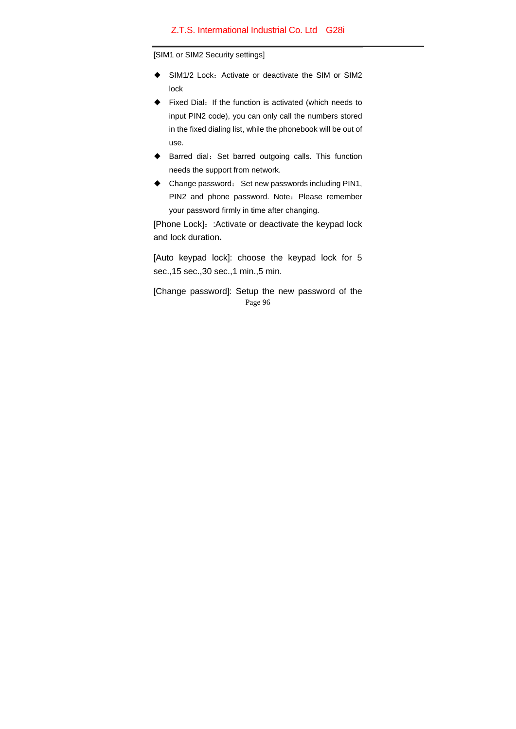[SIM1 or SIM2 Security settings]

- SIM1/2 Lock: Activate or deactivate the SIM or SIM2 lock
- ◆ Fixed Dial: If the function is activated (which needs to input PIN2 code), you can only call the numbers stored in the fixed dialing list, while the phonebook will be out of use.
- ◆ Barred dial: Set barred outgoing calls. This function needs the support from network.
- ◆ Change password: Set new passwords including PIN1, PIN2 and phone password. Note: Please remember your password firmly in time after changing.

[Phone Lock]: : Activate or deactivate the keypad lock and lock duration**.** 

[Auto keypad lock]: choose the keypad lock for 5 sec.,15 sec.,30 sec.,1 min.,5 min.

Page 96 [Change password]: Setup the new password of the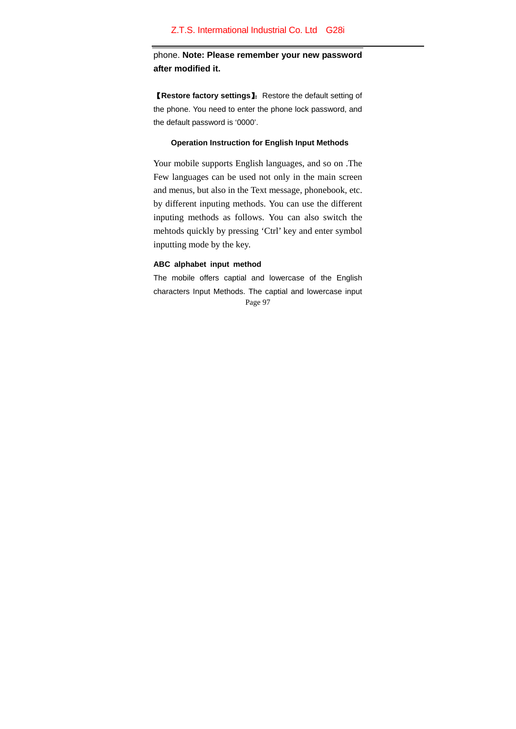phone. **Note: Please remember your new password after modified it.** 

【**Restore factory settings**】:Restore the default setting of the phone. You need to enter the phone lock password, and the default password is '0000'.

#### **Operation Instruction for English Input Methods**

Your mobile supports English languages, and so on .The Few languages can be used not only in the main screen and menus, but also in the Text message, phonebook, etc. by different inputing methods. You can use the different inputing methods as follows. You can also switch the mehtods quickly by pressing 'Ctrl' key and enter symbol inputting mode by the key.

### **ABC alphabet input method**

Page 97 The mobile offers captial and lowercase of the English characters Input Methods. The captial and lowercase input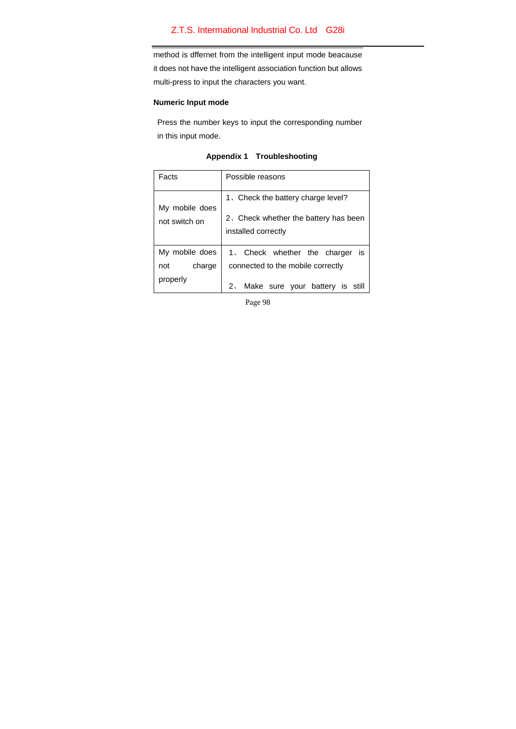method is dffernet from the intelligent input mode beacause it does not have the intelligent association function but allows multi-press to input the characters you want.

### **Numeric Input mode**

Press the number keys to input the corresponding number in this input mode.

| Troubleshooting<br><b>Appendix 1</b> |
|--------------------------------------|
|--------------------------------------|

| Facts          | Possible reasons                                             |  |  |
|----------------|--------------------------------------------------------------|--|--|
| My mobile does | 1. Check the battery charge level?                           |  |  |
| not switch on  | 2. Check whether the battery has been<br>installed correctly |  |  |
| My mobile does | is<br>1. Check whether the charger                           |  |  |
| charge<br>not  | connected to the mobile correctly                            |  |  |
| properly       | 2. Make sure your battery is                                 |  |  |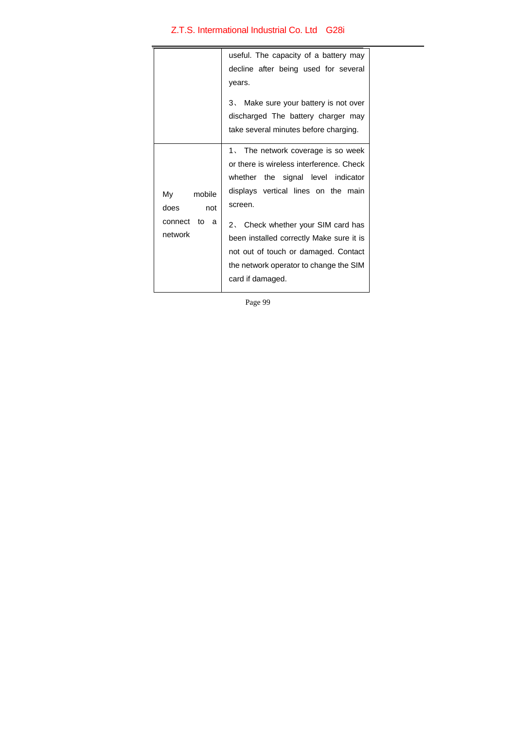|                                                  | useful. The capacity of a battery may<br>decline after being used for several<br>years.<br>3. Make sure your battery is not over<br>discharged The battery charger may<br>take several minutes before charging.                                                                                                                                                |
|--------------------------------------------------|----------------------------------------------------------------------------------------------------------------------------------------------------------------------------------------------------------------------------------------------------------------------------------------------------------------------------------------------------------------|
| My mobile<br>does not<br>connect to a<br>network | 1. The network coverage is so week<br>or there is wireless interference. Check<br>whether the signal level indicator<br>displays vertical lines on the main<br>screen.<br>2. Check whether your SIM card has<br>been installed correctly Make sure it is<br>not out of touch or damaged. Contact<br>the network operator to change the SIM<br>card if damaged. |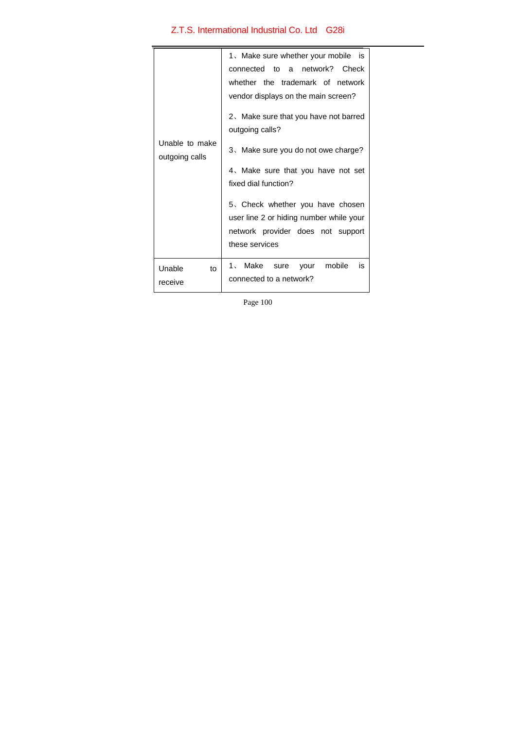| Unable to make<br>outgoing calls | 1. Make sure whether your mobile is<br>connected to a network? Check<br>whether the trademark of network<br>vendor displays on the main screen?<br>2. Make sure that you have not barred<br>outgoing calls?<br>3. Make sure you do not owe charge?<br>4. Make sure that you have not set<br>fixed dial function?<br>5. Check whether you have chosen<br>user line 2 or hiding number while your<br>network provider does not support<br>these services |
|----------------------------------|--------------------------------------------------------------------------------------------------------------------------------------------------------------------------------------------------------------------------------------------------------------------------------------------------------------------------------------------------------------------------------------------------------------------------------------------------------|
| Unable<br>to<br>receive          | 1. Make sure<br>mobile<br>is<br>your<br>connected to a network?                                                                                                                                                                                                                                                                                                                                                                                        |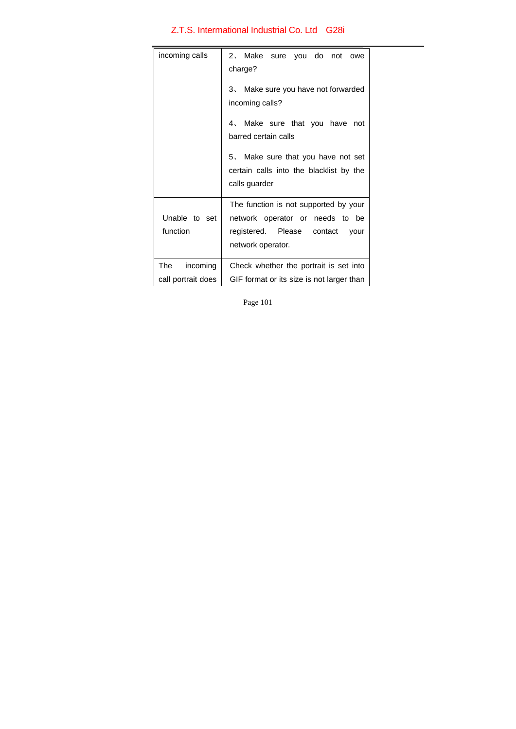| incoming calls                                                  | 2. Make sure you do not owe<br>charge?                                                                                              |  |  |
|-----------------------------------------------------------------|-------------------------------------------------------------------------------------------------------------------------------------|--|--|
|                                                                 | 3. Make sure you have not forwarded<br>incoming calls?                                                                              |  |  |
|                                                                 | 4. Make sure that you have<br>not<br>barred certain calls                                                                           |  |  |
|                                                                 | 5. Make sure that you have not set<br>certain calls into the blacklist by the<br>calls guarder                                      |  |  |
| Unable to set<br>function                                       | The function is not supported by your<br>network operator or needs to be<br>registered. Please contact<br>vour<br>network operator. |  |  |
| The<br>incoming                                                 | Check whether the portrait is set into                                                                                              |  |  |
| call portrait does<br>GIF format or its size is not larger than |                                                                                                                                     |  |  |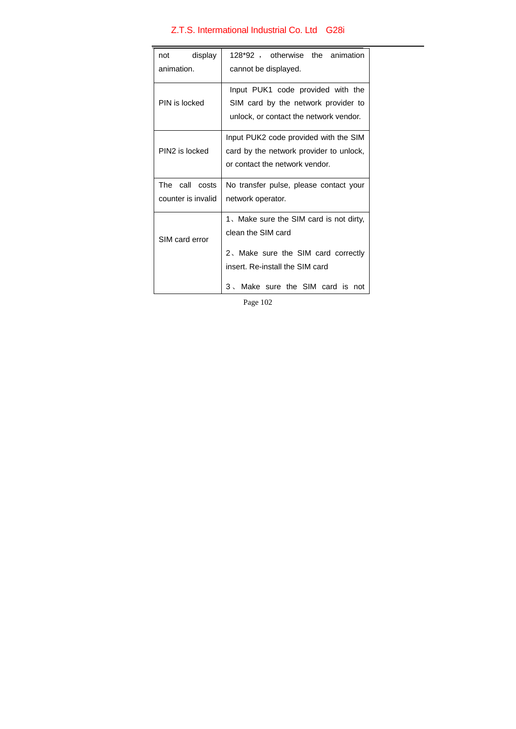| display<br>128*92, otherwise the<br>not<br>animation<br>animation.<br>cannot be displayed. |                                                                                                                                         |  |
|--------------------------------------------------------------------------------------------|-----------------------------------------------------------------------------------------------------------------------------------------|--|
| PIN is locked                                                                              | Input PUK1 code provided with the<br>SIM card by the network provider to<br>unlock, or contact the network vendor.                      |  |
| PIN2 is locked                                                                             | Input PUK2 code provided with the SIM<br>card by the network provider to unlock,<br>or contact the network vendor.                      |  |
| The call costs<br>counter is invalid                                                       | No transfer pulse, please contact your<br>network operator.                                                                             |  |
| SIM card error                                                                             | 1. Make sure the SIM card is not dirty,<br>clean the SIM card<br>2. Make sure the SIM card correctly<br>insert. Re-install the SIM card |  |
|                                                                                            | Make sure the SIM card is not<br>$3 \sim$                                                                                               |  |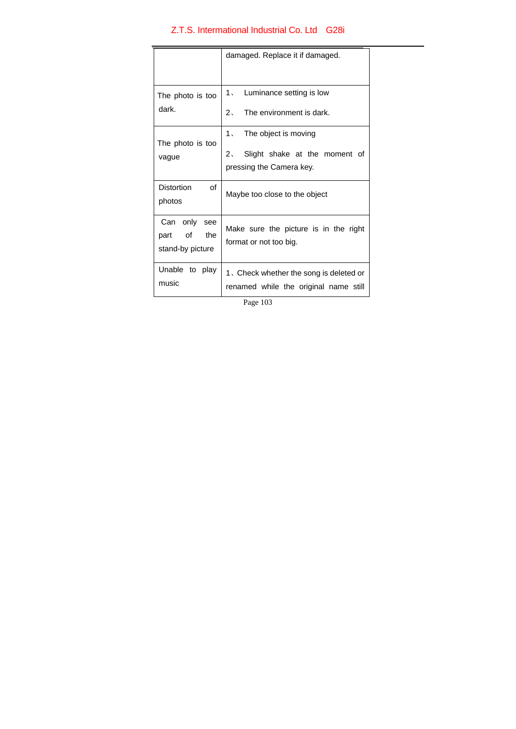|                                                 | damaged. Replace it if damaged.                                                                        |  |
|-------------------------------------------------|--------------------------------------------------------------------------------------------------------|--|
| The photo is too<br>dark.                       | 1. Luminance setting is low<br>2 <sub>1</sub><br>The environment is dark.                              |  |
| The photo is too<br>vague                       | 1. The object is moving<br>Slight shake at the moment of<br>2 <sub>1</sub><br>pressing the Camera key. |  |
| <b>Distortion</b><br>of<br>photos               | Maybe too close to the object                                                                          |  |
| Can only see<br>part of the<br>stand-by picture | Make sure the picture is in the right<br>format or not too big.                                        |  |
| Unable to play<br>music                         | 1. Check whether the song is deleted or<br>renamed while the original name still                       |  |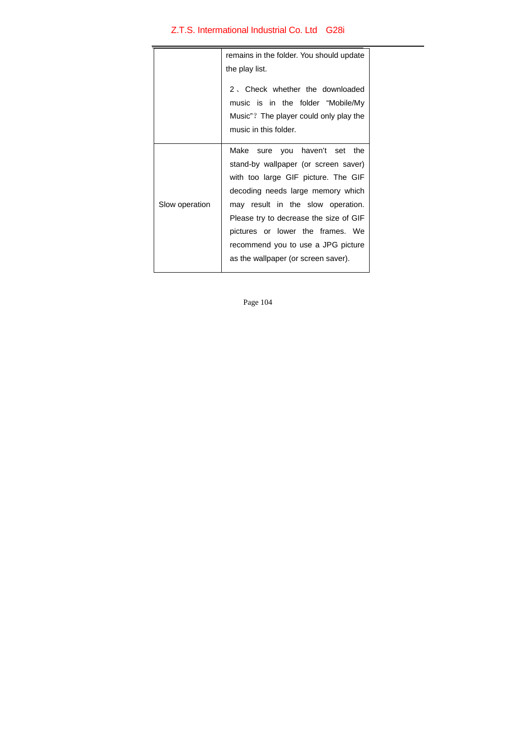|                | remains in the folder. You should update                                                                                                                                                                                                                                                                                                          |  |  |
|----------------|---------------------------------------------------------------------------------------------------------------------------------------------------------------------------------------------------------------------------------------------------------------------------------------------------------------------------------------------------|--|--|
|                | the play list.                                                                                                                                                                                                                                                                                                                                    |  |  |
|                | 2. Check whether the downloaded<br>music is in the folder "Mobile/My<br>Music"? The player could only play the<br>music in this folder.                                                                                                                                                                                                           |  |  |
| Slow operation | Make sure you haven't set the<br>stand-by wallpaper (or screen saver)<br>with too large GIF picture. The GIF<br>decoding needs large memory which<br>may result in the slow operation.<br>Please try to decrease the size of GIF<br>pictures or lower the frames. We<br>recommend you to use a JPG picture<br>as the wallpaper (or screen saver). |  |  |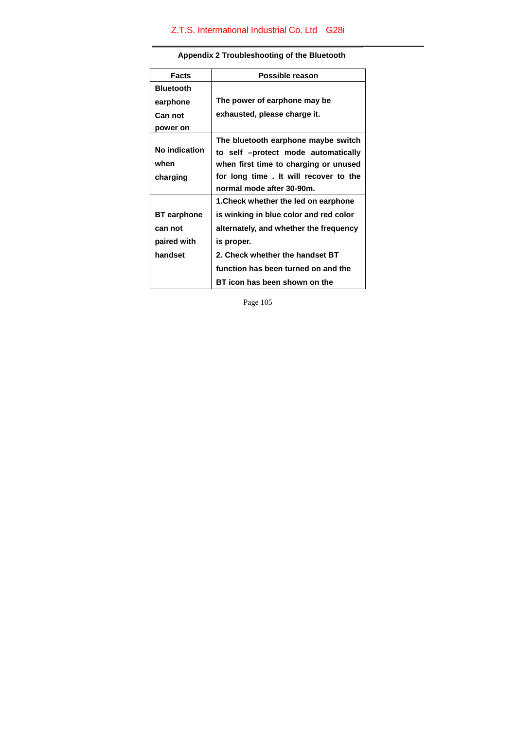| <b>Facts</b>       | Possible reason                        |  |  |
|--------------------|----------------------------------------|--|--|
| <b>Bluetooth</b>   |                                        |  |  |
| earphone           | The power of earphone may be           |  |  |
| Can not            | exhausted, please charge it.           |  |  |
| power on           |                                        |  |  |
| No indication      | The bluetooth earphone maybe switch    |  |  |
|                    | to self -protect mode automatically    |  |  |
| when               | when first time to charging or unused  |  |  |
| charging           | for long time. It will recover to the  |  |  |
|                    | normal mode after 30-90m.              |  |  |
|                    | 1. Check whether the led on earphone   |  |  |
| <b>BT</b> earphone | is winking in blue color and red color |  |  |
| can not            | alternately, and whether the frequency |  |  |
| paired with        | is proper.                             |  |  |
| handset            | 2. Check whether the handset BT        |  |  |
|                    | function has been turned on and the    |  |  |
|                    | BT icon has been shown on the          |  |  |

# **Appendix 2 Troubleshooting of the Bluetooth**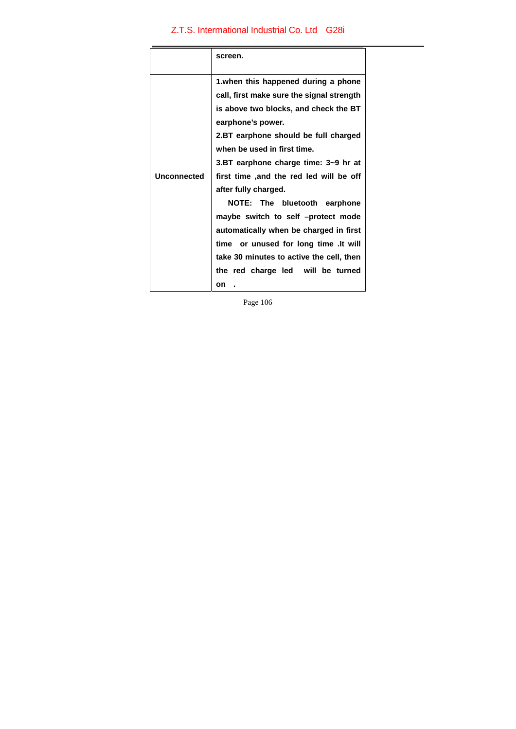|             | screen.                                                                                                                                                                                                                |  |
|-------------|------------------------------------------------------------------------------------------------------------------------------------------------------------------------------------------------------------------------|--|
|             | 1. when this happened during a phone<br>call, first make sure the signal strength<br>is above two blocks, and check the BT<br>earphone's power.<br>2.BT earphone should be full charged<br>when be used in first time. |  |
| Unconnected | 3.BT earphone charge time: 3~9 hr at<br>first time ,and the red led will be off<br>after fully charged.                                                                                                                |  |
|             | NOTE: The bluetooth earphone<br>maybe switch to self -protect mode<br>automatically when be charged in first<br>time or unused for long time . It will                                                                 |  |
|             | take 30 minutes to active the cell, then<br>the red charge led will be turned<br>on                                                                                                                                    |  |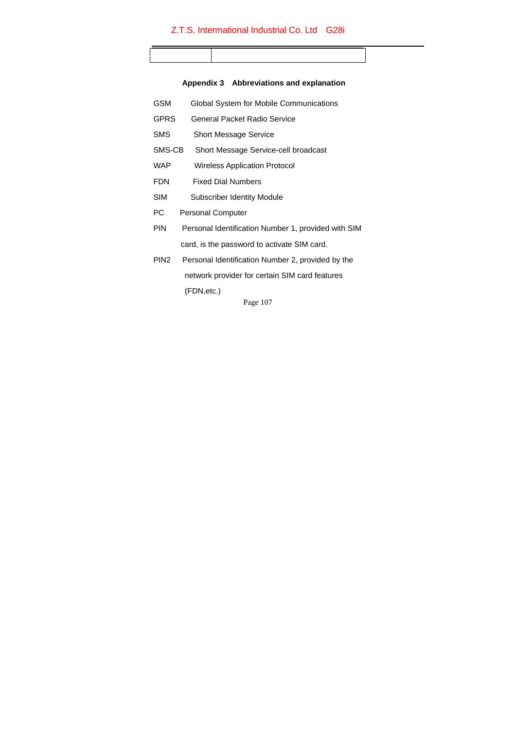# **Appendix 3 Abbreviations and explanation**

| GSM              | Global System for Mobile Communications             |
|------------------|-----------------------------------------------------|
| GPRS             | General Packet Radio Service                        |
| SMS              | <b>Short Message Service</b>                        |
| SMS-CB           | Short Message Service-cell broadcast                |
| WAP              | Wireless Application Protocol                       |
| FDN              | <b>Fixed Dial Numbers</b>                           |
| <b>SIM</b>       | Subscriber Identity Module                          |
| РC               | <b>Personal Computer</b>                            |
| PIN              | Personal Identification Number 1, provided with SIM |
|                  | card, is the password to activate SIM card.         |
| PIN <sub>2</sub> | Personal Identification Number 2, provided by the   |
|                  | network provider for certain SIM card features      |
|                  | (FDN,etc.)                                          |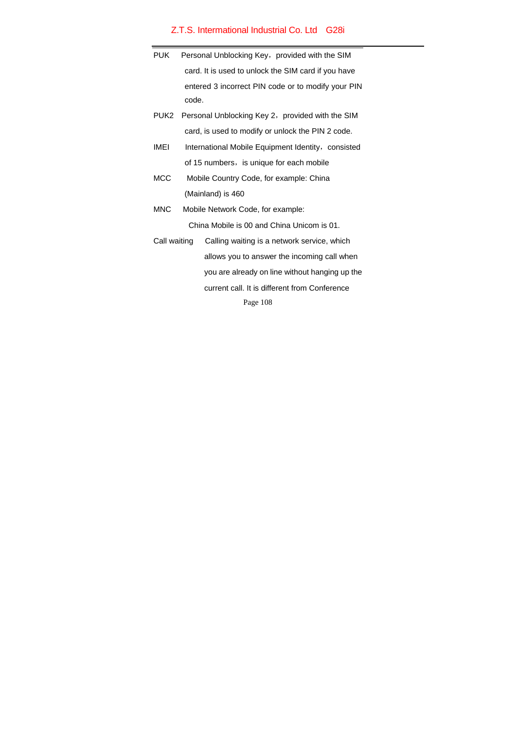| <b>PUK</b>   | Personal Unblocking Key, provided with the SIM        |                                                     |
|--------------|-------------------------------------------------------|-----------------------------------------------------|
|              |                                                       | card. It is used to unlock the SIM card if you have |
|              |                                                       | entered 3 incorrect PIN code or to modify your PIN  |
|              | code.                                                 |                                                     |
|              | PUK2 Personal Unblocking Key 2, provided with the SIM |                                                     |
|              | card, is used to modify or unlock the PIN 2 code.     |                                                     |
| <b>IMEI</b>  |                                                       | International Mobile Equipment Identity, consisted  |
|              | of 15 numbers, is unique for each mobile              |                                                     |
| <b>MCC</b>   | Mobile Country Code, for example: China               |                                                     |
|              | (Mainland) is 460                                     |                                                     |
| <b>MNC</b>   | Mobile Network Code, for example:                     |                                                     |
|              | China Mobile is 00 and China Unicom is 01.            |                                                     |
| Call waiting |                                                       | Calling waiting is a network service, which         |
|              |                                                       | allows you to answer the incoming call when         |
|              |                                                       | you are already on line without hanging up the      |
|              |                                                       | current call. It is different from Conference       |
| Page 108     |                                                       |                                                     |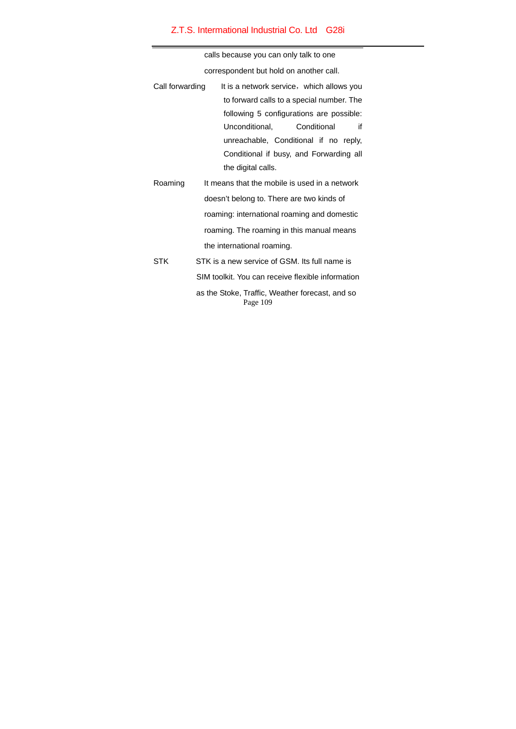## Z.T.S. Intermational Industrial Co. Ltd G28i

calls because you can only talk to one

correspondent but hold on another call.

| Call forwarding | It is a network service, which allows you     |
|-----------------|-----------------------------------------------|
|                 | to forward calls to a special number. The     |
|                 | following 5 configurations are possible:      |
|                 | if<br>Unconditional,<br>Conditional           |
|                 | unreachable, Conditional if no reply,         |
|                 | Conditional if busy, and Forwarding all       |
|                 | the digital calls.                            |
| Roaming         | It means that the mobile is used in a network |
|                 | doesn't belong to. There are two kinds of     |

roaming: international roaming and domestic roaming. The roaming in this manual means the international roaming.

Page 109 STK STK is a new service of GSM. Its full name is SIM toolkit. You can receive flexible information as the Stoke, Traffic, Weather forecast, and so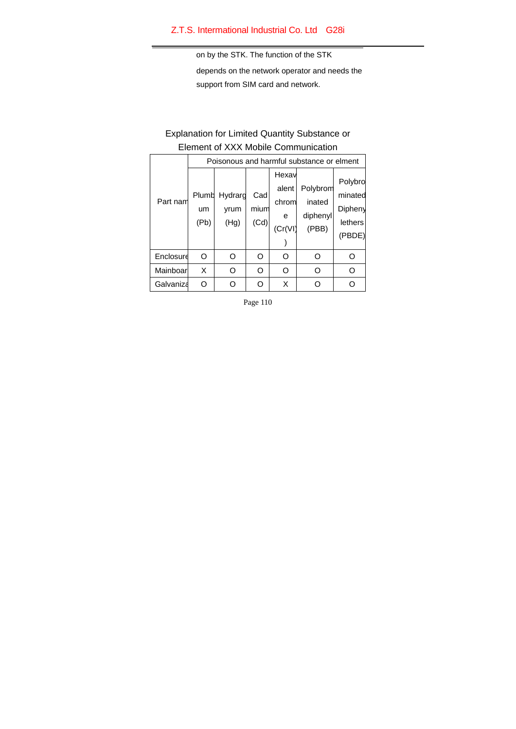## Z.T.S. Intermational Industrial Co. Ltd G28i

on by the STK. The function of the STK

depends on the network operator and needs the support from SIM card and network.

## Explanation for Limited Quantity Substance or Element of XXX Mobile Communication

|           | Poisonous and harmful substance or elment |                         |                     |                                         |                                         |                                                    |  |  |
|-----------|-------------------------------------------|-------------------------|---------------------|-----------------------------------------|-----------------------------------------|----------------------------------------------------|--|--|
| Part nam  | Plumb<br>um<br>(Pb)                       | Hydrarg<br>yrum<br>(Hg) | Cad<br>mium<br>(Cd) | Hexav<br>alent<br>chrom<br>e<br>(Cr(V)) | Polybrom<br>inated<br>diphenyl<br>(PBB) | Polybro<br>minated<br>Dipheny<br>lethers<br>(PBDE) |  |  |
| Enclosure | O                                         | Ω                       | O                   | റ                                       | O                                       | O                                                  |  |  |
| Mainboar  | X                                         | റ                       | O                   | Ω                                       | റ                                       | O                                                  |  |  |
| Galvaniza | ∩                                         |                         | ∩                   | X                                       |                                         |                                                    |  |  |

Page 110